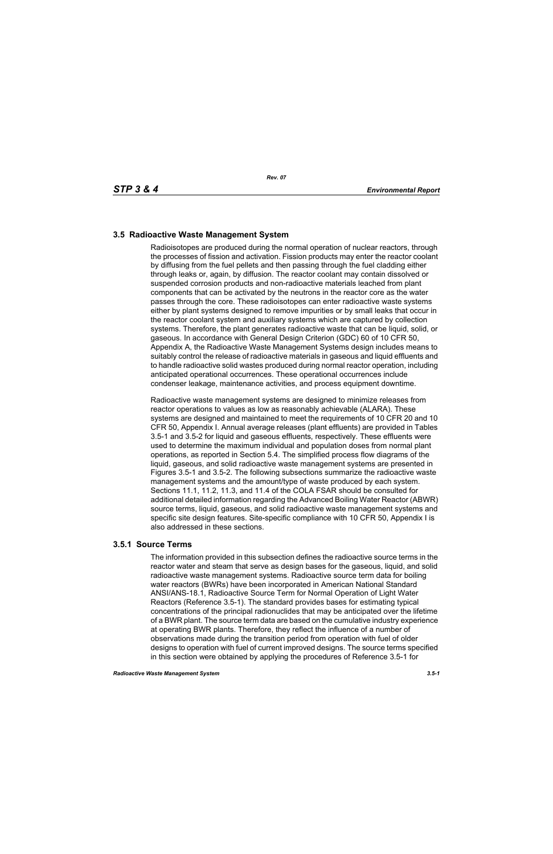# **3.5 Radioactive Waste Management System**

Radioisotopes are produced during the normal operation of nuclear reactors, through the processes of fission and activation. Fission products may enter the reactor coolant by diffusing from the fuel pellets and then passing through the fuel cladding either through leaks or, again, by diffusion. The reactor coolant may contain dissolved or suspended corrosion products and non-radioactive materials leached from plant components that can be activated by the neutrons in the reactor core as the water passes through the core. These radioisotopes can enter radioactive waste systems either by plant systems designed to remove impurities or by small leaks that occur in the reactor coolant system and auxiliary systems which are captured by collection systems. Therefore, the plant generates radioactive waste that can be liquid, solid, or gaseous. In accordance with General Design Criterion (GDC) 60 of 10 CFR 50, Appendix A, the Radioactive Waste Management Systems design includes means to suitably control the release of radioactive materials in gaseous and liquid effluents and to handle radioactive solid wastes produced during normal reactor operation, including anticipated operational occurrences. These operational occurrences include condenser leakage, maintenance activities, and process equipment downtime.

Radioactive waste management systems are designed to minimize releases from reactor operations to values as low as reasonably achievable (ALARA). These systems are designed and maintained to meet the requirements of 10 CFR 20 and 10 CFR 50, Appendix I. Annual average releases (plant effluents) are provided in Tables 3.5-1 and 3.5-2 for liquid and gaseous effluents, respectively. These effluents were used to determine the maximum individual and population doses from normal plant operations, as reported in Section 5.4. The simplified process flow diagrams of the liquid, gaseous, and solid radioactive waste management systems are presented in Figures 3.5-1 and 3.5-2. The following subsections summarize the radioactive waste management systems and the amount/type of waste produced by each system. Sections 11.1, 11.2, 11.3, and 11.4 of the COLA FSAR should be consulted for additional detailed information regarding the Advanced Boiling Water Reactor (ABWR) source terms, liquid, gaseous, and solid radioactive waste management systems and specific site design features. Site-specific compliance with 10 CFR 50, Appendix I is also addressed in these sections.

# **3.5.1 Source Terms**

The information provided in this subsection defines the radioactive source terms in the reactor water and steam that serve as design bases for the gaseous, liquid, and solid radioactive waste management systems. Radioactive source term data for boiling water reactors (BWRs) have been incorporated in American National Standard ANSI/ANS-18.1, Radioactive Source Term for Normal Operation of Light Water Reactors (Reference 3.5-1). The standard provides bases for estimating typical concentrations of the principal radionuclides that may be anticipated over the lifetime of a BWR plant. The source term data are based on the cumulative industry experience at operating BWR plants. Therefore, they reflect the influence of a number of observations made during the transition period from operation with fuel of older designs to operation with fuel of current improved designs. The source terms specified in this section were obtained by applying the procedures of Reference 3.5-1 for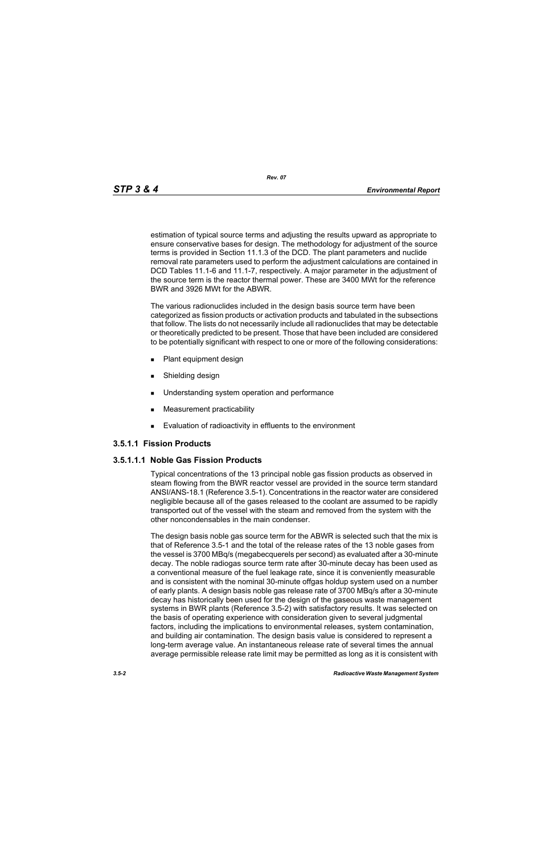*Rev. 07*

estimation of typical source terms and adjusting the results upward as appropriate to ensure conservative bases for design. The methodology for adjustment of the source terms is provided in Section 11.1.3 of the DCD. The plant parameters and nuclide removal rate parameters used to perform the adjustment calculations are contained in DCD Tables 11.1-6 and 11.1-7, respectively. A major parameter in the adjustment of the source term is the reactor thermal power. These are 3400 MWt for the reference BWR and 3926 MWt for the ABWR.

The various radionuclides included in the design basis source term have been categorized as fission products or activation products and tabulated in the subsections that follow. The lists do not necessarily include all radionuclides that may be detectable or theoretically predicted to be present. Those that have been included are considered to be potentially significant with respect to one or more of the following considerations:

- **Plant equipment design**
- **Burnelling design**
- **Understanding system operation and performance**
- **Measurement practicability**
- **Evaluation of radioactivity in effluents to the environment**

# **3.5.1.1 Fission Products**

# **3.5.1.1.1 Noble Gas Fission Products**

Typical concentrations of the 13 principal noble gas fission products as observed in steam flowing from the BWR reactor vessel are provided in the source term standard ANSI/ANS-18.1 (Reference 3.5-1). Concentrations in the reactor water are considered negligible because all of the gases released to the coolant are assumed to be rapidly transported out of the vessel with the steam and removed from the system with the other noncondensables in the main condenser.

The design basis noble gas source term for the ABWR is selected such that the mix is that of Reference 3.5-1 and the total of the release rates of the 13 noble gases from the vessel is 3700 MBq/s (megabecquerels per second) as evaluated after a 30-minute decay. The noble radiogas source term rate after 30-minute decay has been used as a conventional measure of the fuel leakage rate, since it is conveniently measurable and is consistent with the nominal 30-minute offgas holdup system used on a number of early plants. A design basis noble gas release rate of 3700 MBq/s after a 30-minute decay has historically been used for the design of the gaseous waste management systems in BWR plants (Reference 3.5-2) with satisfactory results. It was selected on the basis of operating experience with consideration given to several judgmental factors, including the implications to environmental releases, system contamination, and building air contamination. The design basis value is considered to represent a long-term average value. An instantaneous release rate of several times the annual average permissible release rate limit may be permitted as long as it is consistent with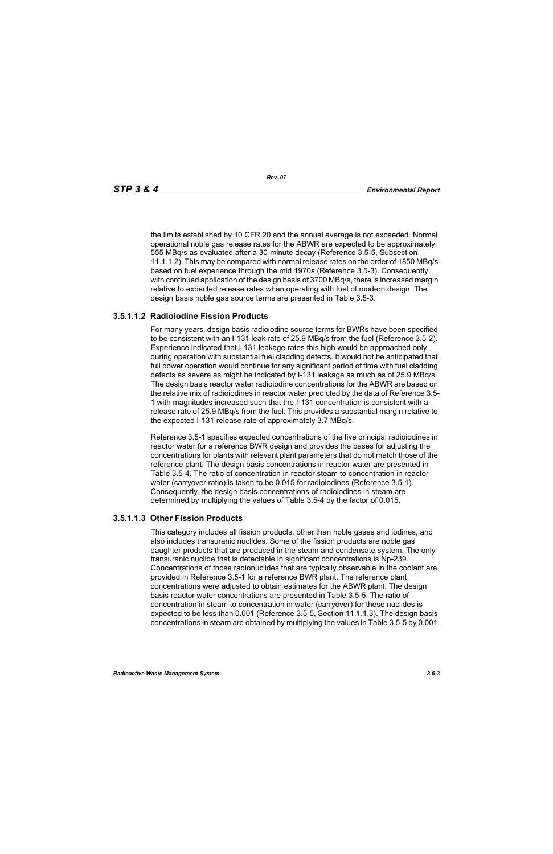the limits established by 10 CFR 20 and the annual average is not exceeded. Normal operational noble gas release rates for the ABWR are expected to be approximately 555 MBq/s as evaluated after a 30-minute decay (Reference 3.5-5, Subsection 11.1.1.2). This may be compared with normal release rates on the order of 1850 MBq/s based on fuel experience through the mid 1970s (Reference 3.5-3). Consequently, with continued application of the design basis of 3700 MBq/s, there is increased margin relative to expected release rates when operating with fuel of modern design. The design basis noble gas source terms are presented in Table 3.5-3.

# **3.5.1.1.2 Radioiodine Fission Products**

For many years, design basis radioiodine source terms for BWRs have been specified to be consistent with an I-131 leak rate of 25.9 MBq/s from the fuel (Reference 3.5-2). Experience indicated that I-131 leakage rates this high would be approached only during operation with substantial fuel cladding defects. It would not be anticipated that full power operation would continue for any significant period of time with fuel cladding defects as severe as might be indicated by I-131 leakage as much as of 25.9 MBq/s. The design basis reactor water radioiodine concentrations for the ABWR are based on the relative mix of radioiodines in reactor water predicted by the data of Reference 3.5- 1 with magnitudes increased such that the I-131 concentration is consistent with a release rate of 25.9 MBq/s from the fuel. This provides a substantial margin relative to the expected I-131 release rate of approximately 3.7 MBq/s.

Reference 3.5-1 specifies expected concentrations of the five principal radioiodines in reactor water for a reference BWR design and provides the bases for adjusting the concentrations for plants with relevant plant parameters that do not match those of the reference plant. The design basis concentrations in reactor water are presented in Table 3.5-4. The ratio of concentration in reactor steam to concentration in reactor water (carryover ratio) is taken to be 0.015 for radioiodines (Reference 3.5-1). Consequently, the design basis concentrations of radioiodines in steam are determined by multiplying the values of Table 3.5-4 by the factor of 0.015.

#### **3.5.1.1.3 Other Fission Products**

This category includes all fission products, other than noble gases and iodines, and also includes transuranic nuclides. Some of the fission products are noble gas daughter products that are produced in the steam and condensate system. The only transuranic nuclide that is detectable in significant concentrations is Np-239. Concentrations of those radionuclides that are typically observable in the coolant are provided in Reference 3.5-1 for a reference BWR plant. The reference plant concentrations were adjusted to obtain estimates for the ABWR plant. The design basis reactor water concentrations are presented in Table 3.5-5. The ratio of concentration in steam to concentration in water (carryover) for these nuclides is expected to be less than 0.001 (Reference 3.5-5, Section 11.1.1.3). The design basis concentrations in steam are obtained by multiplying the values in Table 3.5-5 by 0.001.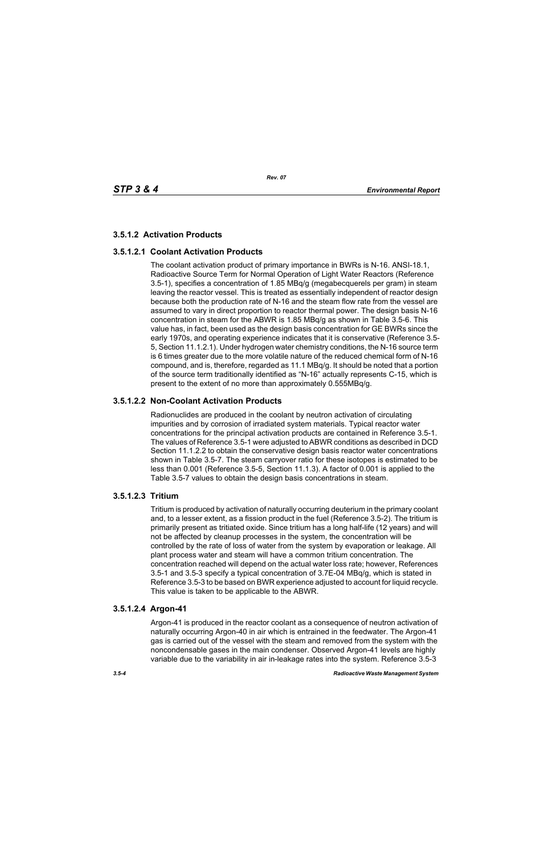# **3.5.1.2 Activation Products**

# **3.5.1.2.1 Coolant Activation Products**

The coolant activation product of primary importance in BWRs is N-16. ANSI-18.1, Radioactive Source Term for Normal Operation of Light Water Reactors (Reference 3.5-1), specifies a concentration of 1.85 MBq/g (megabecquerels per gram) in steam leaving the reactor vessel. This is treated as essentially independent of reactor design because both the production rate of N-16 and the steam flow rate from the vessel are assumed to vary in direct proportion to reactor thermal power. The design basis N-16 concentration in steam for the ABWR is 1.85 MBq/g as shown in Table 3.5-6. This value has, in fact, been used as the design basis concentration for GE BWRs since the early 1970s, and operating experience indicates that it is conservative (Reference 3.5- 5, Section 11.1.2.1). Under hydrogen water chemistry conditions, the N-16 source term is 6 times greater due to the more volatile nature of the reduced chemical form of N-16 compound, and is, therefore, regarded as 11.1 MBq/g. It should be noted that a portion of the source term traditionally identified as "N-16" actually represents C-15, which is present to the extent of no more than approximately 0.555MBq/g.

# **3.5.1.2.2 Non-Coolant Activation Products**

Radionuclides are produced in the coolant by neutron activation of circulating impurities and by corrosion of irradiated system materials. Typical reactor water concentrations for the principal activation products are contained in Reference 3.5-1. The values of Reference 3.5-1 were adjusted to ABWR conditions as described in DCD Section 11.1.2.2 to obtain the conservative design basis reactor water concentrations shown in Table 3.5-7. The steam carryover ratio for these isotopes is estimated to be less than 0.001 (Reference 3.5-5, Section 11.1.3). A factor of 0.001 is applied to the Table 3.5-7 values to obtain the design basis concentrations in steam.

# **3.5.1.2.3 Tritium**

Tritium is produced by activation of naturally occurring deuterium in the primary coolant and, to a lesser extent, as a fission product in the fuel (Reference 3.5-2). The tritium is primarily present as tritiated oxide. Since tritium has a long half-life (12 years) and will not be affected by cleanup processes in the system, the concentration will be controlled by the rate of loss of water from the system by evaporation or leakage. All plant process water and steam will have a common tritium concentration. The concentration reached will depend on the actual water loss rate; however, References 3.5-1 and 3.5-3 specify a typical concentration of 3.7E-04 MBq/g, which is stated in Reference 3.5-3 to be based on BWR experience adjusted to account for liquid recycle. This value is taken to be applicable to the ABWR.

# **3.5.1.2.4 Argon-41**

Argon-41 is produced in the reactor coolant as a consequence of neutron activation of naturally occurring Argon-40 in air which is entrained in the feedwater. The Argon-41 gas is carried out of the vessel with the steam and removed from the system with the noncondensable gases in the main condenser. Observed Argon-41 levels are highly variable due to the variability in air in-leakage rates into the system. Reference 3.5-3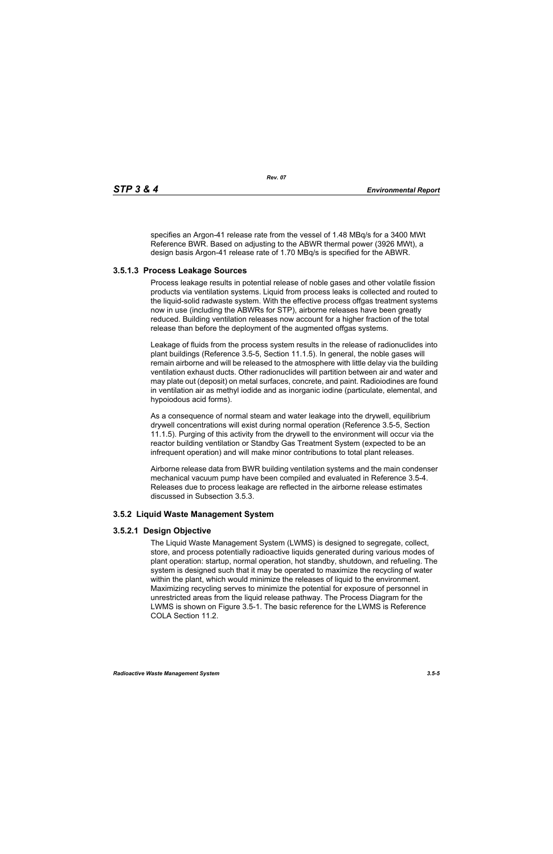specifies an Argon-41 release rate from the vessel of 1.48 MBq/s for a 3400 MWt Reference BWR. Based on adjusting to the ABWR thermal power (3926 MWt), a design basis Argon-41 release rate of 1.70 MBq/s is specified for the ABWR.

# **3.5.1.3 Process Leakage Sources**

Process leakage results in potential release of noble gases and other volatile fission products via ventilation systems. Liquid from process leaks is collected and routed to the liquid-solid radwaste system. With the effective process offgas treatment systems now in use (including the ABWRs for STP), airborne releases have been greatly reduced. Building ventilation releases now account for a higher fraction of the total release than before the deployment of the augmented offgas systems.

Leakage of fluids from the process system results in the release of radionuclides into plant buildings (Reference 3.5-5, Section 11.1.5). In general, the noble gases will remain airborne and will be released to the atmosphere with little delay via the building ventilation exhaust ducts. Other radionuclides will partition between air and water and may plate out (deposit) on metal surfaces, concrete, and paint. Radioiodines are found in ventilation air as methyl iodide and as inorganic iodine (particulate, elemental, and hypoiodous acid forms).

As a consequence of normal steam and water leakage into the drywell, equilibrium drywell concentrations will exist during normal operation (Reference 3.5-5, Section 11.1.5). Purging of this activity from the drywell to the environment will occur via the reactor building ventilation or Standby Gas Treatment System (expected to be an infrequent operation) and will make minor contributions to total plant releases.

Airborne release data from BWR building ventilation systems and the main condenser mechanical vacuum pump have been compiled and evaluated in Reference 3.5-4. Releases due to process leakage are reflected in the airborne release estimates discussed in Subsection 3.5.3.

# **3.5.2 Liquid Waste Management System**

# **3.5.2.1 Design Objective**

The Liquid Waste Management System (LWMS) is designed to segregate, collect, store, and process potentially radioactive liquids generated during various modes of plant operation: startup, normal operation, hot standby, shutdown, and refueling. The system is designed such that it may be operated to maximize the recycling of water within the plant, which would minimize the releases of liquid to the environment. Maximizing recycling serves to minimize the potential for exposure of personnel in unrestricted areas from the liquid release pathway. The Process Diagram for the LWMS is shown on Figure 3.5-1. The basic reference for the LWMS is Reference COLA Section 11.2.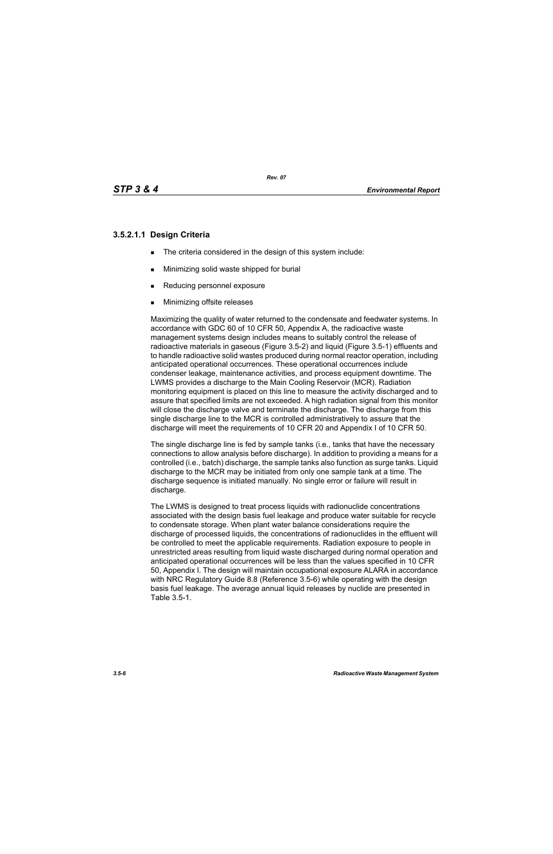# **3.5.2.1.1 Design Criteria**

- The criteria considered in the design of this system include:
- **Minimizing solid waste shipped for burial**
- Reducing personnel exposure
- **Minimizing offsite releases**

Maximizing the quality of water returned to the condensate and feedwater systems. In accordance with GDC 60 of 10 CFR 50, Appendix A, the radioactive waste management systems design includes means to suitably control the release of radioactive materials in gaseous (Figure 3.5-2) and liquid (Figure 3.5-1) effluents and to handle radioactive solid wastes produced during normal reactor operation, including anticipated operational occurrences. These operational occurrences include condenser leakage, maintenance activities, and process equipment downtime. The LWMS provides a discharge to the Main Cooling Reservoir (MCR). Radiation monitoring equipment is placed on this line to measure the activity discharged and to assure that specified limits are not exceeded. A high radiation signal from this monitor will close the discharge valve and terminate the discharge. The discharge from this single discharge line to the MCR is controlled administratively to assure that the discharge will meet the requirements of 10 CFR 20 and Appendix I of 10 CFR 50.

The single discharge line is fed by sample tanks (i.e., tanks that have the necessary connections to allow analysis before discharge). In addition to providing a means for a controlled (i.e., batch) discharge, the sample tanks also function as surge tanks. Liquid discharge to the MCR may be initiated from only one sample tank at a time. The discharge sequence is initiated manually. No single error or failure will result in discharge.

The LWMS is designed to treat process liquids with radionuclide concentrations associated with the design basis fuel leakage and produce water suitable for recycle to condensate storage. When plant water balance considerations require the discharge of processed liquids, the concentrations of radionuclides in the effluent will be controlled to meet the applicable requirements. Radiation exposure to people in unrestricted areas resulting from liquid waste discharged during normal operation and anticipated operational occurrences will be less than the values specified in 10 CFR 50, Appendix I. The design will maintain occupational exposure ALARA in accordance with NRC Regulatory Guide 8.8 (Reference 3.5-6) while operating with the design basis fuel leakage. The average annual liquid releases by nuclide are presented in Table 3.5-1.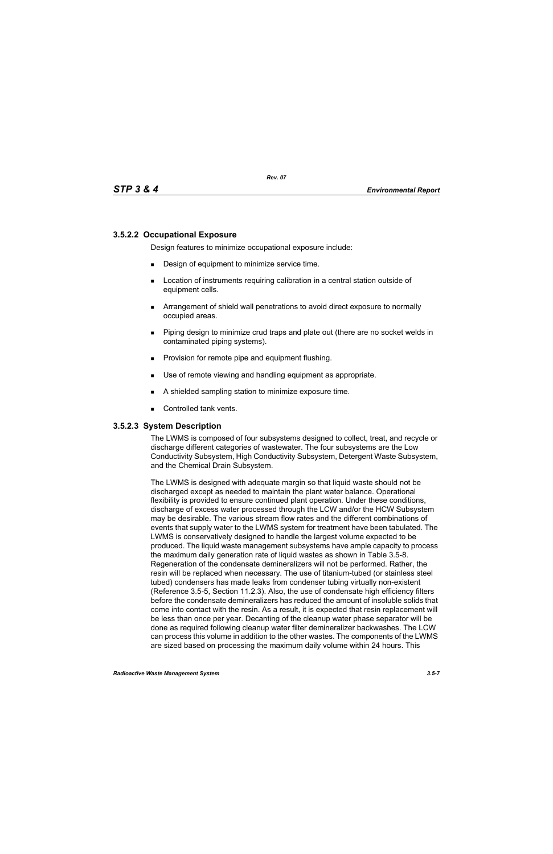### **3.5.2.2 Occupational Exposure**

Design features to minimize occupational exposure include:

- **Design of equipment to minimize service time.**
- **EXECT** Location of instruments requiring calibration in a central station outside of equipment cells.
- Arrangement of shield wall penetrations to avoid direct exposure to normally occupied areas.
- Piping design to minimize crud traps and plate out (there are no socket welds in contaminated piping systems).
- **Provision for remote pipe and equipment flushing.**
- Use of remote viewing and handling equipment as appropriate.
- A shielded sampling station to minimize exposure time.
- Controlled tank vents.

#### **3.5.2.3 System Description**

The LWMS is composed of four subsystems designed to collect, treat, and recycle or discharge different categories of wastewater. The four subsystems are the Low Conductivity Subsystem, High Conductivity Subsystem, Detergent Waste Subsystem, and the Chemical Drain Subsystem.

The LWMS is designed with adequate margin so that liquid waste should not be discharged except as needed to maintain the plant water balance. Operational flexibility is provided to ensure continued plant operation. Under these conditions, discharge of excess water processed through the LCW and/or the HCW Subsystem may be desirable. The various stream flow rates and the different combinations of events that supply water to the LWMS system for treatment have been tabulated. The LWMS is conservatively designed to handle the largest volume expected to be produced. The liquid waste management subsystems have ample capacity to process the maximum daily generation rate of liquid wastes as shown in Table 3.5-8. Regeneration of the condensate demineralizers will not be performed. Rather, the resin will be replaced when necessary. The use of titanium-tubed (or stainless steel tubed) condensers has made leaks from condenser tubing virtually non-existent (Reference 3.5-5, Section 11.2.3). Also, the use of condensate high efficiency filters before the condensate demineralizers has reduced the amount of insoluble solids that come into contact with the resin. As a result, it is expected that resin replacement will be less than once per year. Decanting of the cleanup water phase separator will be done as required following cleanup water filter demineralizer backwashes. The LCW can process this volume in addition to the other wastes. The components of the LWMS are sized based on processing the maximum daily volume within 24 hours. This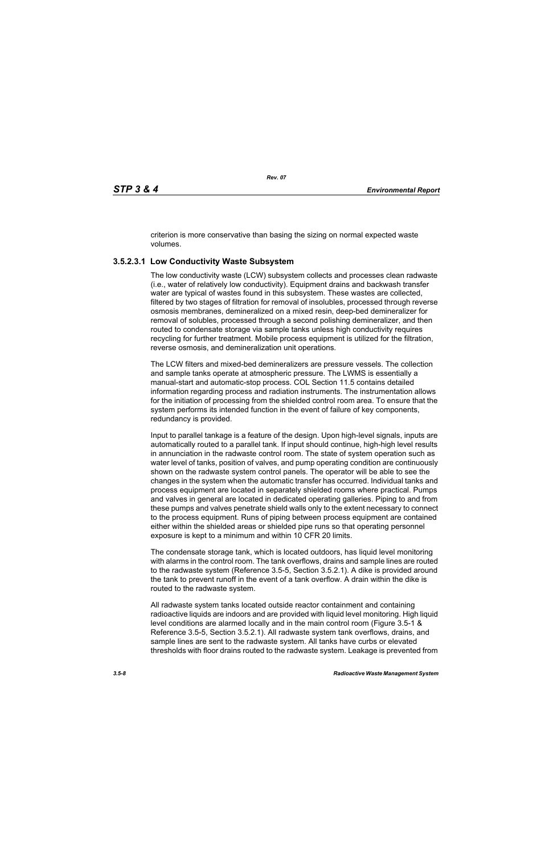criterion is more conservative than basing the sizing on normal expected waste volumes.

# **3.5.2.3.1 Low Conductivity Waste Subsystem**

The low conductivity waste (LCW) subsystem collects and processes clean radwaste (i.e., water of relatively low conductivity). Equipment drains and backwash transfer water are typical of wastes found in this subsystem. These wastes are collected, filtered by two stages of filtration for removal of insolubles, processed through reverse osmosis membranes, demineralized on a mixed resin, deep-bed demineralizer for removal of solubles, processed through a second polishing demineralizer, and then routed to condensate storage via sample tanks unless high conductivity requires recycling for further treatment. Mobile process equipment is utilized for the filtration, reverse osmosis, and demineralization unit operations.

The LCW filters and mixed-bed demineralizers are pressure vessels. The collection and sample tanks operate at atmospheric pressure. The LWMS is essentially a manual-start and automatic-stop process. COL Section 11.5 contains detailed information regarding process and radiation instruments. The instrumentation allows for the initiation of processing from the shielded control room area. To ensure that the system performs its intended function in the event of failure of key components, redundancy is provided.

Input to parallel tankage is a feature of the design. Upon high-level signals, inputs are automatically routed to a parallel tank. If input should continue, high-high level results in annunciation in the radwaste control room. The state of system operation such as water level of tanks, position of valves, and pump operating condition are continuously shown on the radwaste system control panels. The operator will be able to see the changes in the system when the automatic transfer has occurred. Individual tanks and process equipment are located in separately shielded rooms where practical. Pumps and valves in general are located in dedicated operating galleries. Piping to and from these pumps and valves penetrate shield walls only to the extent necessary to connect to the process equipment. Runs of piping between process equipment are contained either within the shielded areas or shielded pipe runs so that operating personnel exposure is kept to a minimum and within 10 CFR 20 limits.

The condensate storage tank, which is located outdoors, has liquid level monitoring with alarms in the control room. The tank overflows, drains and sample lines are routed to the radwaste system (Reference 3.5-5, Section 3.5.2.1). A dike is provided around the tank to prevent runoff in the event of a tank overflow. A drain within the dike is routed to the radwaste system.

All radwaste system tanks located outside reactor containment and containing radioactive liquids are indoors and are provided with liquid level monitoring. High liquid level conditions are alarmed locally and in the main control room (Figure 3.5-1 & Reference 3.5-5, Section 3.5.2.1). All radwaste system tank overflows, drains, and sample lines are sent to the radwaste system. All tanks have curbs or elevated thresholds with floor drains routed to the radwaste system. Leakage is prevented from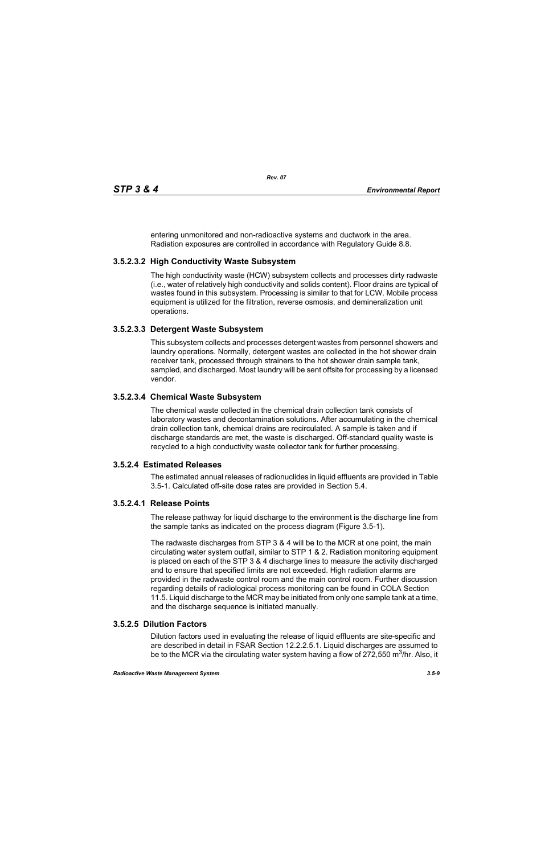entering unmonitored and non-radioactive systems and ductwork in the area. Radiation exposures are controlled in accordance with Regulatory Guide 8.8.

# **3.5.2.3.2 High Conductivity Waste Subsystem**

The high conductivity waste (HCW) subsystem collects and processes dirty radwaste (i.e., water of relatively high conductivity and solids content). Floor drains are typical of wastes found in this subsystem. Processing is similar to that for LCW. Mobile process equipment is utilized for the filtration, reverse osmosis, and demineralization unit operations.

# **3.5.2.3.3 Detergent Waste Subsystem**

This subsystem collects and processes detergent wastes from personnel showers and laundry operations. Normally, detergent wastes are collected in the hot shower drain receiver tank, processed through strainers to the hot shower drain sample tank, sampled, and discharged. Most laundry will be sent offsite for processing by a licensed vendor.

# **3.5.2.3.4 Chemical Waste Subsystem**

The chemical waste collected in the chemical drain collection tank consists of laboratory wastes and decontamination solutions. After accumulating in the chemical drain collection tank, chemical drains are recirculated. A sample is taken and if discharge standards are met, the waste is discharged. Off-standard quality waste is recycled to a high conductivity waste collector tank for further processing.

# **3.5.2.4 Estimated Releases**

The estimated annual releases of radionuclides in liquid effluents are provided in Table 3.5-1. Calculated off-site dose rates are provided in Section 5.4.

# **3.5.2.4.1 Release Points**

The release pathway for liquid discharge to the environment is the discharge line from the sample tanks as indicated on the process diagram (Figure 3.5-1).

The radwaste discharges from STP 3 & 4 will be to the MCR at one point, the main circulating water system outfall, similar to STP 1 & 2. Radiation monitoring equipment is placed on each of the STP 3 & 4 discharge lines to measure the activity discharged and to ensure that specified limits are not exceeded. High radiation alarms are provided in the radwaste control room and the main control room. Further discussion regarding details of radiological process monitoring can be found in COLA Section 11.5. Liquid discharge to the MCR may be initiated from only one sample tank at a time, and the discharge sequence is initiated manually.

# **3.5.2.5 Dilution Factors**

Dilution factors used in evaluating the release of liquid effluents are site-specific and are described in detail in FSAR Section 12.2.2.5.1. Liquid discharges are assumed to be to the MCR via the circulating water system having a flow of 272,550 m<sup>3</sup>/hr. Also, it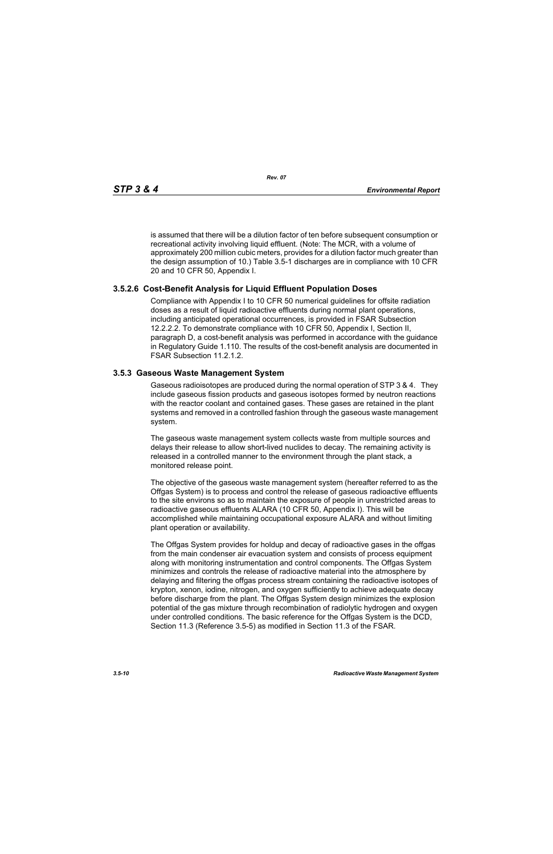is assumed that there will be a dilution factor of ten before subsequent consumption or recreational activity involving liquid effluent. (Note: The MCR, with a volume of approximately 200 million cubic meters, provides for a dilution factor much greater than the design assumption of 10.) Table 3.5-1 discharges are in compliance with 10 CFR 20 and 10 CFR 50, Appendix I.

### **3.5.2.6 Cost-Benefit Analysis for Liquid Effluent Population Doses**

Compliance with Appendix I to 10 CFR 50 numerical guidelines for offsite radiation doses as a result of liquid radioactive effluents during normal plant operations, including anticipated operational occurrences, is provided in FSAR Subsection 12.2.2.2. To demonstrate compliance with 10 CFR 50, Appendix I, Section II, paragraph D, a cost-benefit analysis was performed in accordance with the guidance in Regulatory Guide 1.110. The results of the cost-benefit analysis are documented in FSAR Subsection 11.2.1.2.

#### **3.5.3 Gaseous Waste Management System**

Gaseous radioisotopes are produced during the normal operation of STP 3 & 4. They include gaseous fission products and gaseous isotopes formed by neutron reactions with the reactor coolant and contained gases. These gases are retained in the plant systems and removed in a controlled fashion through the gaseous waste management system.

The gaseous waste management system collects waste from multiple sources and delays their release to allow short-lived nuclides to decay. The remaining activity is released in a controlled manner to the environment through the plant stack, a monitored release point.

The objective of the gaseous waste management system (hereafter referred to as the Offgas System) is to process and control the release of gaseous radioactive effluents to the site environs so as to maintain the exposure of people in unrestricted areas to radioactive gaseous effluents ALARA (10 CFR 50, Appendix I). This will be accomplished while maintaining occupational exposure ALARA and without limiting plant operation or availability.

The Offgas System provides for holdup and decay of radioactive gases in the offgas from the main condenser air evacuation system and consists of process equipment along with monitoring instrumentation and control components. The Offgas System minimizes and controls the release of radioactive material into the atmosphere by delaying and filtering the offgas process stream containing the radioactive isotopes of krypton, xenon, iodine, nitrogen, and oxygen sufficiently to achieve adequate decay before discharge from the plant. The Offgas System design minimizes the explosion potential of the gas mixture through recombination of radiolytic hydrogen and oxygen under controlled conditions. The basic reference for the Offgas System is the DCD, Section 11.3 (Reference 3.5-5) as modified in Section 11.3 of the FSAR.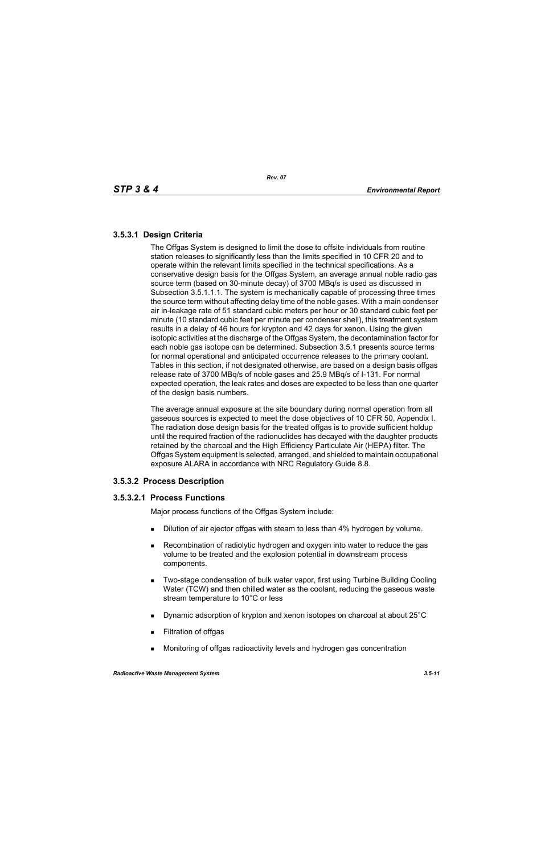# **3.5.3.1 Design Criteria**

The Offgas System is designed to limit the dose to offsite individuals from routine station releases to significantly less than the limits specified in 10 CFR 20 and to operate within the relevant limits specified in the technical specifications. As a conservative design basis for the Offgas System, an average annual noble radio gas source term (based on 30-minute decay) of 3700 MBq/s is used as discussed in Subsection 3.5.1.1.1. The system is mechanically capable of processing three times the source term without affecting delay time of the noble gases. With a main condenser air in-leakage rate of 51 standard cubic meters per hour or 30 standard cubic feet per minute (10 standard cubic feet per minute per condenser shell), this treatment system results in a delay of 46 hours for krypton and 42 days for xenon. Using the given isotopic activities at the discharge of the Offgas System, the decontamination factor for each noble gas isotope can be determined. Subsection 3.5.1 presents source terms for normal operational and anticipated occurrence releases to the primary coolant. Tables in this section, if not designated otherwise, are based on a design basis offgas release rate of 3700 MBq/s of noble gases and 25.9 MBq/s of I-131. For normal expected operation, the leak rates and doses are expected to be less than one quarter of the design basis numbers.

The average annual exposure at the site boundary during normal operation from all gaseous sources is expected to meet the dose objectives of 10 CFR 50, Appendix I. The radiation dose design basis for the treated offgas is to provide sufficient holdup until the required fraction of the radionuclides has decayed with the daughter products retained by the charcoal and the High Efficiency Particulate Air (HEPA) filter. The Offgas System equipment is selected, arranged, and shielded to maintain occupational exposure ALARA in accordance with NRC Regulatory Guide 8.8.

# **3.5.3.2 Process Description**

# **3.5.3.2.1 Process Functions**

Major process functions of the Offgas System include:

- **Dilution of air ejector offgas with steam to less than 4% hydrogen by volume.**
- Recombination of radiolytic hydrogen and oxygen into water to reduce the gas volume to be treated and the explosion potential in downstream process components.
- **Two-stage condensation of bulk water vapor, first using Turbine Building Cooling** Water (TCW) and then chilled water as the coolant, reducing the gaseous waste stream temperature to 10°C or less
- Dynamic adsorption of krypton and xenon isotopes on charcoal at about 25°C
- **Filtration of offgas**
- Monitoring of offgas radioactivity levels and hydrogen gas concentration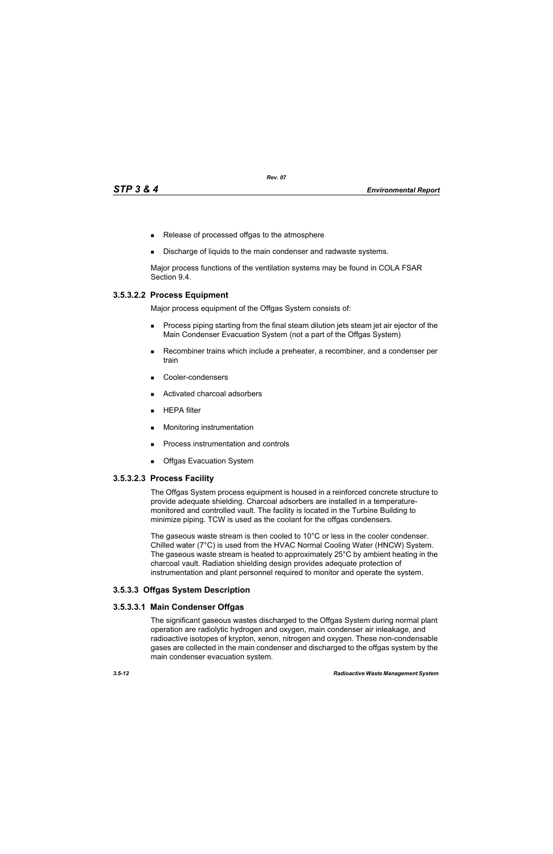- Release of processed offgas to the atmosphere
- Discharge of liquids to the main condenser and radwaste systems.

Major process functions of the ventilation systems may be found in COLA FSAR Section 9.4.

### **3.5.3.2.2 Process Equipment**

Major process equipment of the Offgas System consists of:

- **Process piping starting from the final steam dilution jets steam jet air ejector of the** Main Condenser Evacuation System (not a part of the Offgas System)
- Recombiner trains which include a preheater, a recombiner, and a condenser per train
- Cooler-condensers
- Activated charcoal adsorbers
- $HEPA$  filter
- **Monitoring instrumentation**
- **Process instrumentation and controls**
- **Debival Exacuation System**

#### **3.5.3.2.3 Process Facility**

The Offgas System process equipment is housed in a reinforced concrete structure to provide adequate shielding. Charcoal adsorbers are installed in a temperaturemonitored and controlled vault. The facility is located in the Turbine Building to minimize piping. TCW is used as the coolant for the offgas condensers.

The gaseous waste stream is then cooled to 10°C or less in the cooler condenser. Chilled water (7°C) is used from the HVAC Normal Cooling Water (HNCW) System. The gaseous waste stream is heated to approximately 25°C by ambient heating in the charcoal vault. Radiation shielding design provides adequate protection of instrumentation and plant personnel required to monitor and operate the system.

#### **3.5.3.3 Offgas System Description**

#### **3.5.3.3.1 Main Condenser Offgas**

The significant gaseous wastes discharged to the Offgas System during normal plant operation are radiolytic hydrogen and oxygen, main condenser air inleakage, and radioactive isotopes of krypton, xenon, nitrogen and oxygen. These non-condensable gases are collected in the main condenser and discharged to the offgas system by the main condenser evacuation system.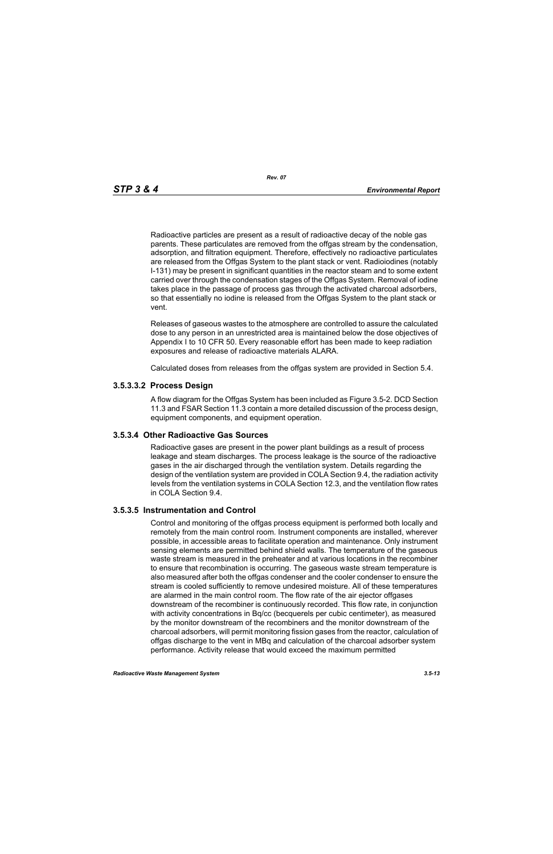Radioactive particles are present as a result of radioactive decay of the noble gas parents. These particulates are removed from the offgas stream by the condensation, adsorption, and filtration equipment. Therefore, effectively no radioactive particulates are released from the Offgas System to the plant stack or vent. Radioiodines (notably I-131) may be present in significant quantities in the reactor steam and to some extent carried over through the condensation stages of the Offgas System. Removal of iodine takes place in the passage of process gas through the activated charcoal adsorbers, so that essentially no iodine is released from the Offgas System to the plant stack or vent.

Releases of gaseous wastes to the atmosphere are controlled to assure the calculated dose to any person in an unrestricted area is maintained below the dose objectives of Appendix I to 10 CFR 50. Every reasonable effort has been made to keep radiation exposures and release of radioactive materials ALARA.

Calculated doses from releases from the offgas system are provided in Section 5.4.

#### **3.5.3.3.2 Process Design**

A flow diagram for the Offgas System has been included as Figure 3.5-2. DCD Section 11.3 and FSAR Section 11.3 contain a more detailed discussion of the process design, equipment components, and equipment operation.

#### **3.5.3.4 Other Radioactive Gas Sources**

Radioactive gases are present in the power plant buildings as a result of process leakage and steam discharges. The process leakage is the source of the radioactive gases in the air discharged through the ventilation system. Details regarding the design of the ventilation system are provided in COLA Section 9.4, the radiation activity levels from the ventilation systems in COLA Section 12.3, and the ventilation flow rates in COLA Section 9.4.

#### **3.5.3.5 Instrumentation and Control**

Control and monitoring of the offgas process equipment is performed both locally and remotely from the main control room. Instrument components are installed, wherever possible, in accessible areas to facilitate operation and maintenance. Only instrument sensing elements are permitted behind shield walls. The temperature of the gaseous waste stream is measured in the preheater and at various locations in the recombiner to ensure that recombination is occurring. The gaseous waste stream temperature is also measured after both the offgas condenser and the cooler condenser to ensure the stream is cooled sufficiently to remove undesired moisture. All of these temperatures are alarmed in the main control room. The flow rate of the air ejector offgases downstream of the recombiner is continuously recorded. This flow rate, in conjunction with activity concentrations in Bq/cc (becquerels per cubic centimeter), as measured by the monitor downstream of the recombiners and the monitor downstream of the charcoal adsorbers, will permit monitoring fission gases from the reactor, calculation of offgas discharge to the vent in MBq and calculation of the charcoal adsorber system performance. Activity release that would exceed the maximum permitted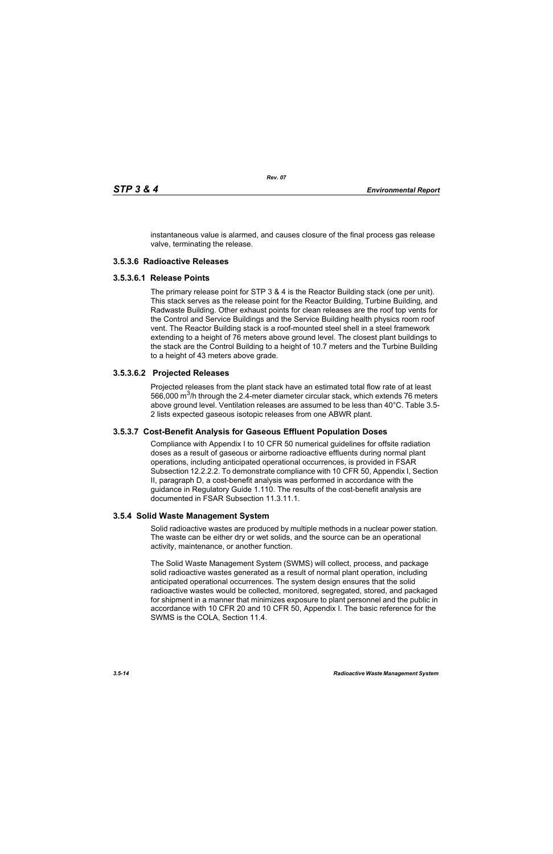instantaneous value is alarmed, and causes closure of the final process gas release valve, terminating the release.

### **3.5.3.6 Radioactive Releases**

#### **3.5.3.6.1 Release Points**

The primary release point for STP 3 & 4 is the Reactor Building stack (one per unit). This stack serves as the release point for the Reactor Building, Turbine Building, and Radwaste Building. Other exhaust points for clean releases are the roof top vents for the Control and Service Buildings and the Service Building health physics room roof vent. The Reactor Building stack is a roof-mounted steel shell in a steel framework extending to a height of 76 meters above ground level. The closest plant buildings to the stack are the Control Building to a height of 10.7 meters and the Turbine Building to a height of 43 meters above grade.

#### **3.5.3.6.2 Projected Releases**

Projected releases from the plant stack have an estimated total flow rate of at least 566,000  $\mathrm{m}^3$ /h through the 2.4-meter diameter circular stack, which extends 76 meters above ground level. Ventilation releases are assumed to be less than 40°C. Table 3.5- 2 lists expected gaseous isotopic releases from one ABWR plant.

#### **3.5.3.7 Cost-Benefit Analysis for Gaseous Effluent Population Doses**

Compliance with Appendix I to 10 CFR 50 numerical guidelines for offsite radiation doses as a result of gaseous or airborne radioactive effluents during normal plant operations, including anticipated operational occurrences, is provided in FSAR Subsection 12.2.2.2. To demonstrate compliance with 10 CFR 50, Appendix I, Section II, paragraph D, a cost-benefit analysis was performed in accordance with the guidance in Regulatory Guide 1.110. The results of the cost-benefit analysis are documented in FSAR Subsection 11.3.11.1.

#### **3.5.4 Solid Waste Management System**

Solid radioactive wastes are produced by multiple methods in a nuclear power station. The waste can be either dry or wet solids, and the source can be an operational activity, maintenance, or another function.

The Solid Waste Management System (SWMS) will collect, process, and package solid radioactive wastes generated as a result of normal plant operation, including anticipated operational occurrences. The system design ensures that the solid radioactive wastes would be collected, monitored, segregated, stored, and packaged for shipment in a manner that minimizes exposure to plant personnel and the public in accordance with 10 CFR 20 and 10 CFR 50, Appendix I. The basic reference for the SWMS is the COLA, Section 11.4.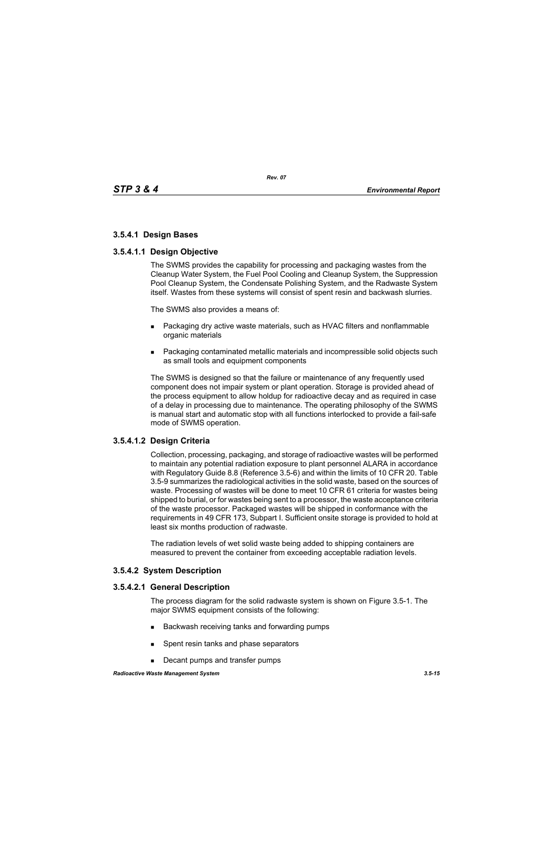# **3.5.4.1 Design Bases**

### **3.5.4.1.1 Design Objective**

The SWMS provides the capability for processing and packaging wastes from the Cleanup Water System, the Fuel Pool Cooling and Cleanup System, the Suppression Pool Cleanup System, the Condensate Polishing System, and the Radwaste System itself. Wastes from these systems will consist of spent resin and backwash slurries.

The SWMS also provides a means of:

- **Packaging dry active waste materials, such as HVAC filters and nonflammable** organic materials
- Packaging contaminated metallic materials and incompressible solid objects such as small tools and equipment components

The SWMS is designed so that the failure or maintenance of any frequently used component does not impair system or plant operation. Storage is provided ahead of the process equipment to allow holdup for radioactive decay and as required in case of a delay in processing due to maintenance. The operating philosophy of the SWMS is manual start and automatic stop with all functions interlocked to provide a fail-safe mode of SWMS operation.

# **3.5.4.1.2 Design Criteria**

Collection, processing, packaging, and storage of radioactive wastes will be performed to maintain any potential radiation exposure to plant personnel ALARA in accordance with Regulatory Guide 8.8 (Reference 3.5-6) and within the limits of 10 CFR 20. Table 3.5-9 summarizes the radiological activities in the solid waste, based on the sources of waste. Processing of wastes will be done to meet 10 CFR 61 criteria for wastes being shipped to burial, or for wastes being sent to a processor, the waste acceptance criteria of the waste processor. Packaged wastes will be shipped in conformance with the requirements in 49 CFR 173, Subpart I. Sufficient onsite storage is provided to hold at least six months production of radwaste.

The radiation levels of wet solid waste being added to shipping containers are measured to prevent the container from exceeding acceptable radiation levels.

# **3.5.4.2 System Description**

#### **3.5.4.2.1 General Description**

The process diagram for the solid radwaste system is shown on Figure 3.5-1. The major SWMS equipment consists of the following:

- Backwash receiving tanks and forwarding pumps
- **Spent resin tanks and phase separators**
- Decant pumps and transfer pumps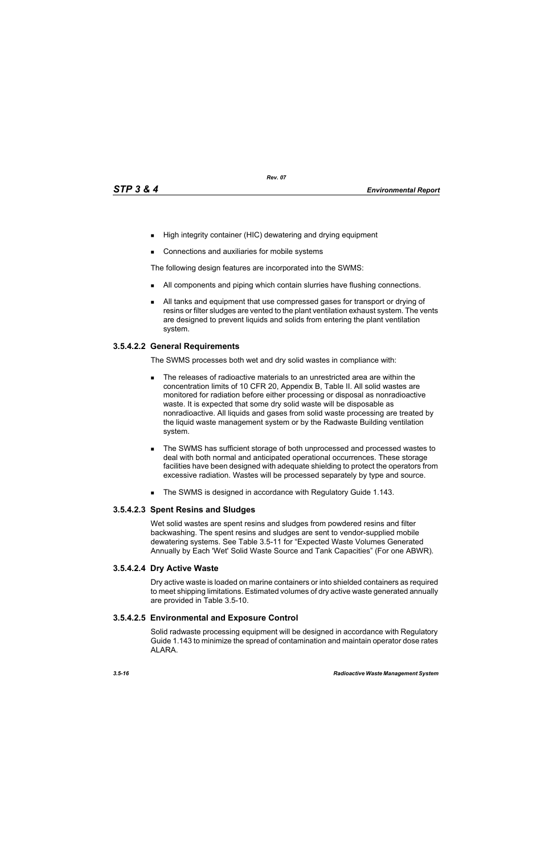- High integrity container (HIC) dewatering and drying equipment
- Connections and auxiliaries for mobile systems

The following design features are incorporated into the SWMS:

- I All components and piping which contain slurries have flushing connections.
- All tanks and equipment that use compressed gases for transport or drying of resins or filter sludges are vented to the plant ventilation exhaust system. The vents are designed to prevent liquids and solids from entering the plant ventilation system.

# **3.5.4.2.2 General Requirements**

The SWMS processes both wet and dry solid wastes in compliance with:

- The releases of radioactive materials to an unrestricted area are within the concentration limits of 10 CFR 20, Appendix B, Table II. All solid wastes are monitored for radiation before either processing or disposal as nonradioactive waste. It is expected that some dry solid waste will be disposable as nonradioactive. All liquids and gases from solid waste processing are treated by the liquid waste management system or by the Radwaste Building ventilation system.
- The SWMS has sufficient storage of both unprocessed and processed wastes to deal with both normal and anticipated operational occurrences. These storage facilities have been designed with adequate shielding to protect the operators from excessive radiation. Wastes will be processed separately by type and source.
- The SWMS is designed in accordance with Regulatory Guide 1.143.

# **3.5.4.2.3 Spent Resins and Sludges**

Wet solid wastes are spent resins and sludges from powdered resins and filter backwashing. The spent resins and sludges are sent to vendor-supplied mobile dewatering systems. See Table 3.5-11 for "Expected Waste Volumes Generated Annually by Each 'Wet' Solid Waste Source and Tank Capacities" (For one ABWR).

# **3.5.4.2.4 Dry Active Waste**

Dry active waste is loaded on marine containers or into shielded containers as required to meet shipping limitations. Estimated volumes of dry active waste generated annually are provided in Table 3.5-10.

# **3.5.4.2.5 Environmental and Exposure Control**

Solid radwaste processing equipment will be designed in accordance with Regulatory Guide 1.143 to minimize the spread of contamination and maintain operator dose rates ALARA.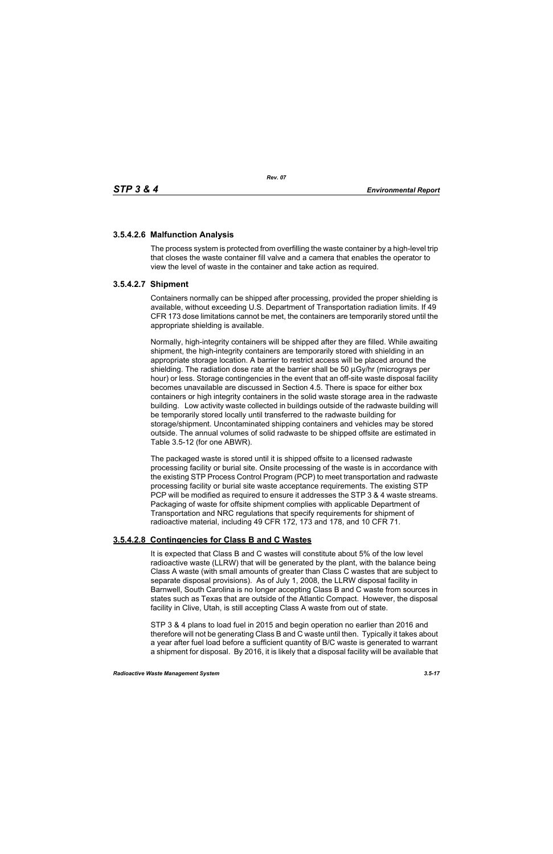# **3.5.4.2.6 Malfunction Analysis**

The process system is protected from overfilling the waste container by a high-level trip that closes the waste container fill valve and a camera that enables the operator to view the level of waste in the container and take action as required.

# **3.5.4.2.7 Shipment**

Containers normally can be shipped after processing, provided the proper shielding is available, without exceeding U.S. Department of Transportation radiation limits. If 49 CFR 173 dose limitations cannot be met, the containers are temporarily stored until the appropriate shielding is available.

Normally, high-integrity containers will be shipped after they are filled. While awaiting shipment, the high-integrity containers are temporarily stored with shielding in an appropriate storage location. A barrier to restrict access will be placed around the shielding. The radiation dose rate at the barrier shall be 50 μGy/hr (micrograys per hour) or less. Storage contingencies in the event that an off-site waste disposal facility becomes unavailable are discussed in Section 4.5. There is space for either box containers or high integrity containers in the solid waste storage area in the radwaste building. Low activity waste collected in buildings outside of the radwaste building will be temporarily stored locally until transferred to the radwaste building for storage/shipment. Uncontaminated shipping containers and vehicles may be stored outside. The annual volumes of solid radwaste to be shipped offsite are estimated in Table 3.5-12 (for one ABWR).

The packaged waste is stored until it is shipped offsite to a licensed radwaste processing facility or burial site. Onsite processing of the waste is in accordance with the existing STP Process Control Program (PCP) to meet transportation and radwaste processing facility or burial site waste acceptance requirements. The existing STP PCP will be modified as required to ensure it addresses the STP 3 & 4 waste streams. Packaging of waste for offsite shipment complies with applicable Department of Transportation and NRC regulations that specify requirements for shipment of radioactive material, including 49 CFR 172, 173 and 178, and 10 CFR 71.

# **3.5.4.2.8 Contingencies for Class B and C Wastes**

It is expected that Class B and C wastes will constitute about 5% of the low level radioactive waste (LLRW) that will be generated by the plant, with the balance being Class A waste (with small amounts of greater than Class C wastes that are subject to separate disposal provisions). As of July 1, 2008, the LLRW disposal facility in Barnwell, South Carolina is no longer accepting Class B and C waste from sources in states such as Texas that are outside of the Atlantic Compact. However, the disposal facility in Clive, Utah, is still accepting Class A waste from out of state.

STP 3 & 4 plans to load fuel in 2015 and begin operation no earlier than 2016 and therefore will not be generating Class B and C waste until then. Typically it takes about a year after fuel load before a sufficient quantity of B/C waste is generated to warrant a shipment for disposal. By 2016, it is likely that a disposal facility will be available that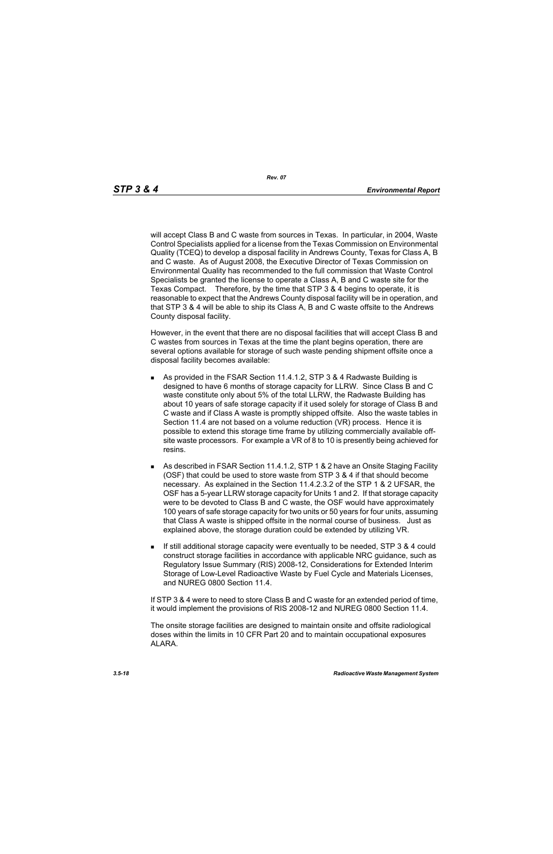will accept Class B and C waste from sources in Texas. In particular, in 2004, Waste Control Specialists applied for a license from the Texas Commission on Environmental Quality (TCEQ) to develop a disposal facility in Andrews County, Texas for Class A, B and C waste. As of August 2008, the Executive Director of Texas Commission on Environmental Quality has recommended to the full commission that Waste Control Specialists be granted the license to operate a Class A, B and C waste site for the Texas Compact. Therefore, by the time that STP 3 & 4 begins to operate, it is reasonable to expect that the Andrews County disposal facility will be in operation, and that STP 3 & 4 will be able to ship its Class A, B and C waste offsite to the Andrews County disposal facility.

However, in the event that there are no disposal facilities that will accept Class B and C wastes from sources in Texas at the time the plant begins operation, there are several options available for storage of such waste pending shipment offsite once a disposal facility becomes available:

- As provided in the FSAR Section 11.4.1.2, STP 3 & 4 Radwaste Building is designed to have 6 months of storage capacity for LLRW. Since Class B and C waste constitute only about 5% of the total LLRW, the Radwaste Building has about 10 years of safe storage capacity if it used solely for storage of Class B and C waste and if Class A waste is promptly shipped offsite. Also the waste tables in Section 11.4 are not based on a volume reduction (VR) process. Hence it is possible to extend this storage time frame by utilizing commercially available offsite waste processors. For example a VR of 8 to 10 is presently being achieved for resins.
- As described in FSAR Section 11.4.1.2, STP 1 & 2 have an Onsite Staging Facility (OSF) that could be used to store waste from STP 3 & 4 if that should become necessary. As explained in the Section 11.4.2.3.2 of the STP 1 & 2 UFSAR, the OSF has a 5-year LLRW storage capacity for Units 1 and 2. If that storage capacity were to be devoted to Class B and C waste, the OSF would have approximately 100 years of safe storage capacity for two units or 50 years for four units, assuming that Class A waste is shipped offsite in the normal course of business. Just as explained above, the storage duration could be extended by utilizing VR.
- If still additional storage capacity were eventually to be needed, STP 3 & 4 could construct storage facilities in accordance with applicable NRC guidance, such as Regulatory Issue Summary (RIS) 2008-12, Considerations for Extended Interim Storage of Low-Level Radioactive Waste by Fuel Cycle and Materials Licenses, and NUREG 0800 Section 11.4.

If STP 3 & 4 were to need to store Class B and C waste for an extended period of time, it would implement the provisions of RIS 2008-12 and NUREG 0800 Section 11.4.

The onsite storage facilities are designed to maintain onsite and offsite radiological doses within the limits in 10 CFR Part 20 and to maintain occupational exposures ALARA.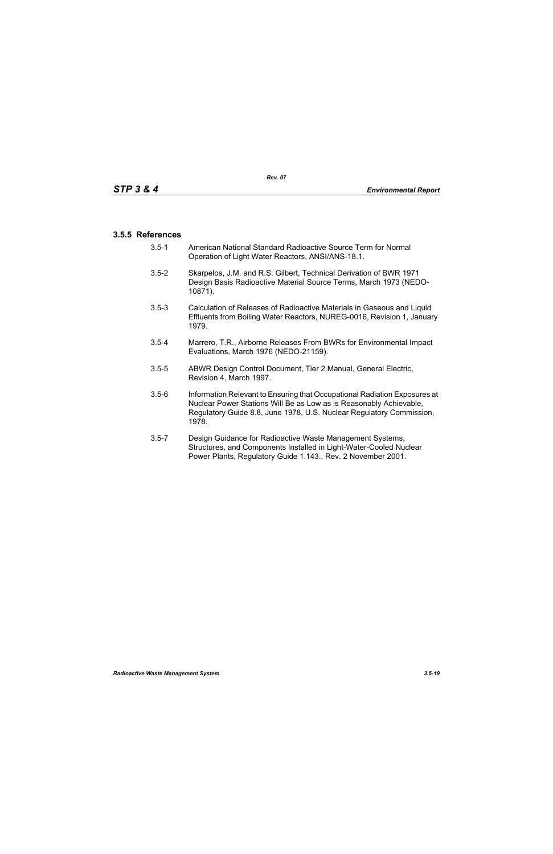# **3.5.5 References**

- 3.5-1 American National Standard Radioactive Source Term for Normal Operation of Light Water Reactors, ANSI/ANS-18.1.
- 3.5-2 Skarpelos, J.M. and R.S. Gilbert, Technical Derivation of BWR 1971 Design Basis Radioactive Material Source Terms, March 1973 (NEDO-10871).
- 3.5-3 Calculation of Releases of Radioactive Materials in Gaseous and Liquid Effluents from Boiling Water Reactors, NUREG-0016, Revision 1, January 1979.
- 3.5-4 Marrero, T.R., Airborne Releases From BWRs for Environmental Impact Evaluations, March 1976 (NEDO-21159).
- 3.5-5 ABWR Design Control Document, Tier 2 Manual, General Electric, Revision 4, March 1997.
- 3.5-6 Information Relevant to Ensuring that Occupational Radiation Exposures at Nuclear Power Stations Will Be as Low as is Reasonably Achievable, Regulatory Guide 8.8, June 1978, U.S. Nuclear Regulatory Commission, 1978.
- 3.5-7 Design Guidance for Radioactive Waste Management Systems, Structures, and Components Installed in Light-Water-Cooled Nuclear Power Plants, Regulatory Guide 1.143., Rev. 2 November 2001.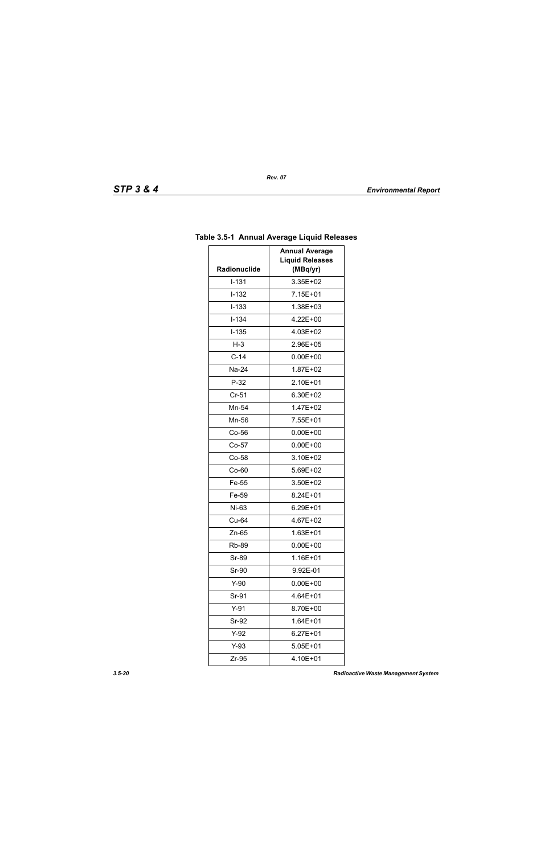| <b>Annual Average</b> |                                    |  |
|-----------------------|------------------------------------|--|
| Radionuclide          | <b>Liquid Releases</b><br>(MBq/yr) |  |
| $I - 131$             | 3.35E+02                           |  |
| $I-132$               | 7.15E+01                           |  |
| $I-133$               | 1.38E+03                           |  |
| $I - 134$             | 4.22E+00                           |  |
| $I-135$               | 4.03E+02                           |  |
| $H-3$                 | 2.96E+05                           |  |
| $C-14$                | $0.00E + 00$                       |  |
| Na-24                 | 1.87E+02                           |  |
| $P-32$                | 2.10E+01                           |  |
| $Cr-51$               | 6.30E+02                           |  |
| Mn-54                 | 1.47E+02                           |  |
| Mn-56                 | 7.55E+01                           |  |
| $Co-56$               | $0.00E + 00$                       |  |
| $Co-57$               | $0.00E + 00$                       |  |
| Co-58                 | 3.10E+02                           |  |
| Co-60                 | 5.69E+02                           |  |
| Fe-55                 | 3.50E+02                           |  |
| Fe-59                 | 8.24E+01                           |  |
| Ni-63                 | 6.29E+01                           |  |
| Cu-64                 | 4.67E+02                           |  |
| $Zn-65$               | 1.63E+01                           |  |
| Rb-89                 | $0.00E + 00$                       |  |
| Sr-89                 | 1.16E+01                           |  |
| Sr-90                 | 9.92E-01                           |  |
| $Y-90$                | $0.00E + 00$                       |  |
| Sr-91                 | 4.64E+01                           |  |
| $Y-91$                | 8.70E+00                           |  |
| Sr-92                 | $1.64E + 01$                       |  |
| $Y-92$<br>6.27E+01    |                                    |  |
| $Y-93$                | 5.05E+01                           |  |
| Zr-95                 | 4.10E+01                           |  |
|                       |                                    |  |

# **Table 3.5-1 Annual Average Liquid Releases**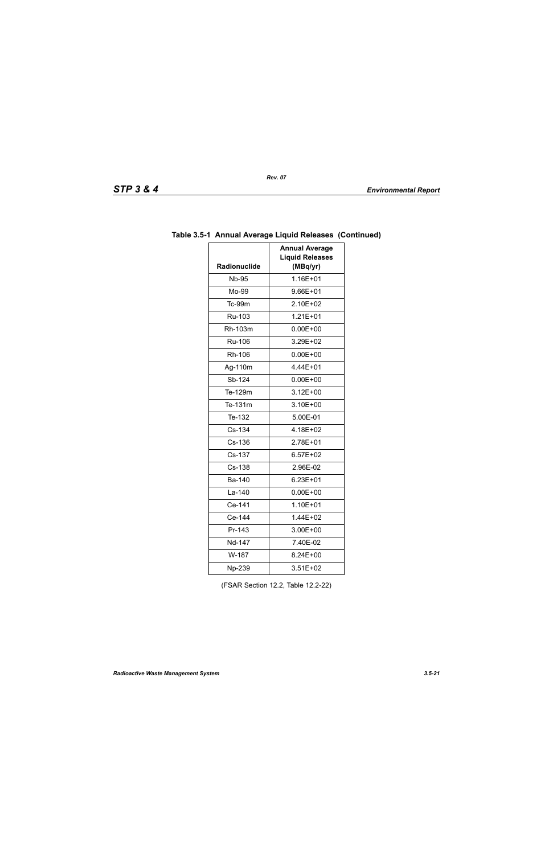| TD<br>SIF |  | œ |  |  |
|-----------|--|---|--|--|
|-----------|--|---|--|--|

| Radionuclide | <b>Annual Average</b><br><b>Liquid Releases</b><br>(MBq/yr) |  |
|--------------|-------------------------------------------------------------|--|
| <b>Nb-95</b> | 1.16E+01                                                    |  |
| Mo-99        | 9.66E+01                                                    |  |
| Tc-99m       | 2.10E+02                                                    |  |
| Ru-103       | $1.21E + 01$                                                |  |
| Rh-103m      | $0.00E + 00$                                                |  |
| Ru-106       | 3.29E+02                                                    |  |
| Rh-106       | $0.00E + 00$                                                |  |
| Ag-110m      | 4.44E+01                                                    |  |
| Sb-124       | $0.00E + 00$                                                |  |
| Te-129m      | $3.12E + 00$                                                |  |
| Te-131m      | 3.10E+00                                                    |  |
| Te-132       | 5.00E-01                                                    |  |
| Cs-134       | 4.18E+02                                                    |  |
| Cs-136       | 2.78E+01                                                    |  |
| Cs-137       | 6.57E+02                                                    |  |
| Cs-138       | 2.96E-02                                                    |  |
| Ba-140       | 6.23E+01                                                    |  |
| La-140       | $0.00E + 00$                                                |  |
| Ce-141       | 1.10E+01                                                    |  |
| Ce-144       | 1.44E+02                                                    |  |
| Pr-143       | 3.00E+00                                                    |  |
| Nd-147       | 7.40E-02                                                    |  |
| W-187        | 8.24E+00                                                    |  |
| Np-239       | 3.51E+02                                                    |  |

# **Table 3.5-1 Annual Average Liquid Releases (Continued)**

(FSAR Section 12.2, Table 12.2-22)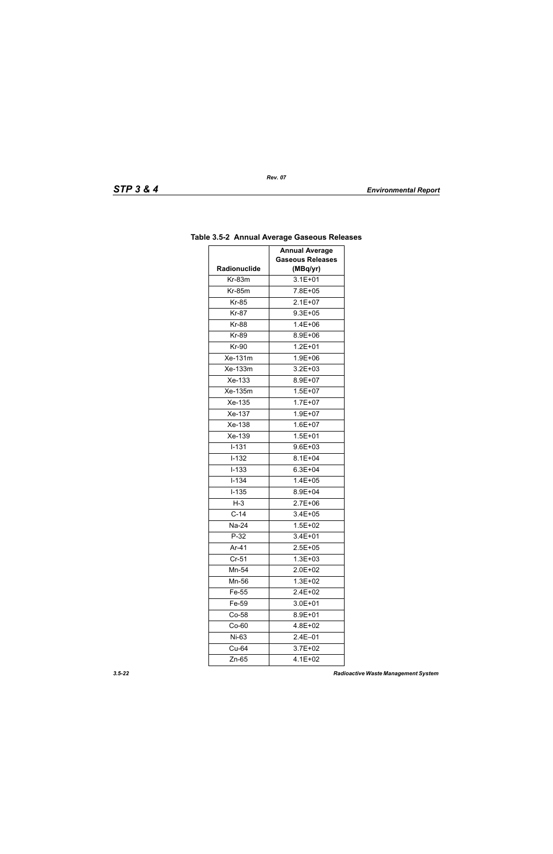|              | <b>Annual Average</b>   |
|--------------|-------------------------|
|              | <b>Gaseous Releases</b> |
| Radionuclide | (MBq/yr)                |
| Kr-83m       | $3.1E + 01$             |
| $Kr-85m$     | 7.8E+05                 |
| <b>Kr-85</b> | $2.1E+07$               |
| <b>Kr-87</b> | $9.3E + 05$             |
| <b>Kr-88</b> | $1.4E + 06$             |
| Kr-89        | 8.9E+06                 |
| <b>Kr-90</b> | $1.2E + 01$             |
| Xe-131m      | 1.9E+06                 |
| Xe-133m      | $3.2E + 03$             |
| Xe-133       | 8.9E+07                 |
| Xe-135m      | $1.5E + 07$             |
| Xe-135       | $1.7E + 07$             |
| Xe-137       | 1.9E+07                 |
| Xe-138       | $1.6E + 07$             |
| Xe-139       | $1.5E + 01$             |
| $I-131$      | $9.6E + 03$             |
| $I-132$      | $8.1E + 04$             |
| $I - 133$    | $6.3E + 04$             |
| $I - 134$    | $1.4E + 05$             |
| $I-135$      | 8.9E+04                 |
| $H-3$        | 2.7E+06                 |
| $C-14$       | 3.4E+05                 |
| Na-24        | $1.5E + 02$             |
| $P-32$       | $3.4E + 01$             |
| Ar-41        | $2.5E + 05$             |
| $Cr-51$      | $1.3E + 03$             |
| Mn-54        | 2.0E+02                 |
| Mn-56        | 1.3E+02                 |
| Fe-55        | $2.4E + 02$             |
| Fe-59        | 3.0E+01                 |
| $Co-58$      | 8.9E+01                 |
| $Co-60$      | 4.8E+02                 |
| Ni-63        | $2.4E - 01$             |
| Cu-64        | 3.7E+02                 |
| Zn-65        | 4.1E+02                 |

# **Table 3.5-2 Annual Average Gaseous Releases**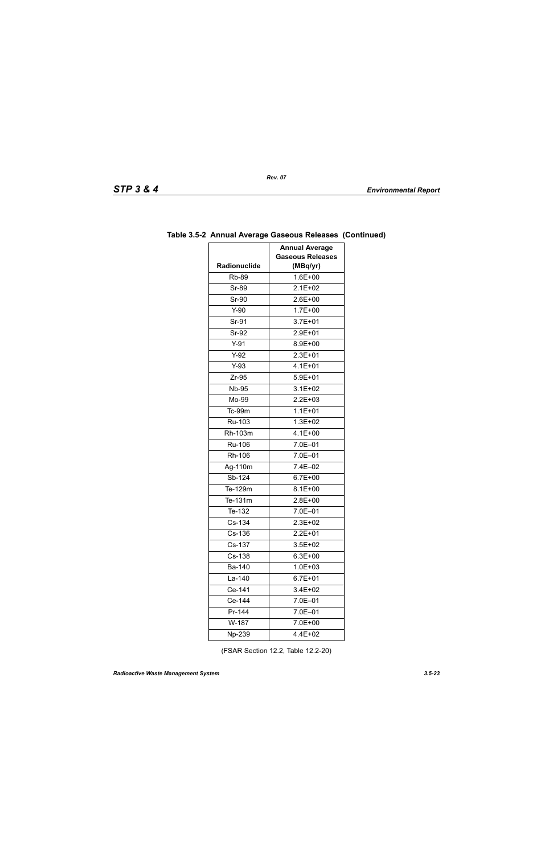| Radionuclide | <b>Annual Average</b><br><b>Gaseous Releases</b><br>(MBq/yr) |
|--------------|--------------------------------------------------------------|
| <b>Rb-89</b> | $1.6E + 00$                                                  |
| <b>Sr-89</b> | $2.1E + 02$                                                  |
| Sr-90        | 2.6E+00                                                      |
| $Y-90$       | $1.7E + 00$                                                  |
| Sr-91        | $3.7E + 01$                                                  |
| Sr-92        | $2.9E + 01$                                                  |
| $Y-91$       | 8.9E+00                                                      |
| $Y-92$       | $2.3E + 01$                                                  |
| $Y-93$       | $4.1E + 01$                                                  |
| $Zr-95$      | $5.9E + 01$                                                  |
| <b>Nb-95</b> | $3.1E + 02$                                                  |
| Mo-99        | 2.2E+03                                                      |
| Tc-99m       | $1.1E + 01$                                                  |
| Ru-103       | $1.3E + 02$                                                  |
| Rh-103m      | $4.1E + 00$                                                  |
| Ru-106       | 7.0E-01                                                      |
| Rh-106       | 7.0E-01                                                      |
| Ag-110m      | 7.4E-02                                                      |
| Sb-124       | $6.7E + 00$                                                  |
| Te-129m      | $8.1E + 00$                                                  |
| Te-131m      | 2.8E+00                                                      |
| Te-132       | 7.0E-01                                                      |
| Cs-134       | $2.3E + 02$                                                  |
| Cs-136       | $2.2E + 01$                                                  |
| Cs-137       | 3.5E+02                                                      |
| Cs-138       | $6.3E + 00$                                                  |
| Ba-140       | 1.0E+03                                                      |
| La-140       | $6.7E + 01$                                                  |
| Ce-141       | 3.4E+02                                                      |
| Ce-144       | 7.0E-01                                                      |
| Pr-144       | 7.0E-01                                                      |
| W-187        | 7.0E+00                                                      |
| Np-239       | 4.4E+02                                                      |

# **Table 3.5-2 Annual Average Gaseous Releases (Continued)**

(FSAR Section 12.2, Table 12.2-20)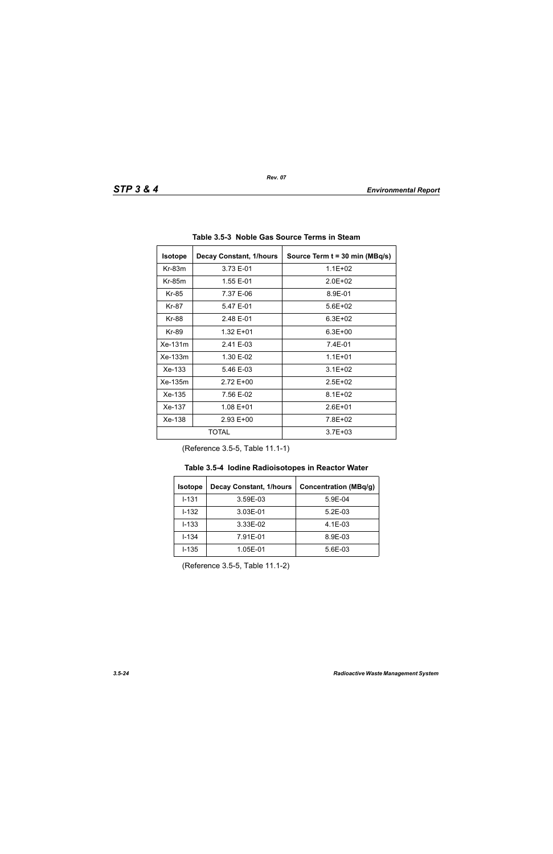| <b>Isotope</b><br><b>Decay Constant, 1/hours</b> |             | Source Term t = 30 min (MBq/s) |  |
|--------------------------------------------------|-------------|--------------------------------|--|
| $Kr-83m$<br>3.73 E-01                            |             | $1.1E + 02$                    |  |
| $Kr-85m$                                         | 1.55 E-01   | $2.0F + 02$                    |  |
| Kr-85                                            | 7.37 E-06   | 8.9E-01                        |  |
| Kr-87                                            | 5.47 E-01   | $5.6E + 02$                    |  |
| Kr-88<br>2.48 E-01                               |             | $6.3E + 02$                    |  |
| Kr-89<br>1.32 E+01                               |             | $6.3E + 00$                    |  |
| Xe-131m<br>2.41 E-03                             |             | 7.4E-01                        |  |
| $Xe-133m$<br>1.30 E-02                           |             | $1.1E + 01$                    |  |
| $Xe-133$<br>5.46 E-03                            |             | $3.1E + 02$                    |  |
| Xe-135m<br>2.72 E+00                             |             | $2.5E + 02$                    |  |
| Xe-135<br>7.56 E-02                              |             | $8.1E + 02$                    |  |
| Xe-137<br>1.08 E+01                              |             | $2.6E + 01$                    |  |
| Xe-138                                           | $2.93 E+00$ | 7.8E+02                        |  |
| TOTAL                                            |             | $3.7E + 03$                    |  |

**Table 3.5-3 Noble Gas Source Terms in Steam** 

(Reference 3.5-5, Table 11.1-1)

| <b>Decay Constant, 1/hours</b><br><b>Isotope</b> |          | <b>Concentration (MBq/g)</b> |
|--------------------------------------------------|----------|------------------------------|
| $I - 131$                                        | 3.59E-03 | 5.9E-04                      |
| $1 - 132$                                        | 3.03E-01 | $5.2E-03$                    |
| $I - 133$                                        | 3.33E-02 | $4.1E-03$                    |
| $I - 134$<br>7.91E-01                            |          | 8.9E-03                      |
| $I - 135$<br>1.05E-01                            |          | 5.6E-03                      |

(Reference 3.5-5, Table 11.1-2)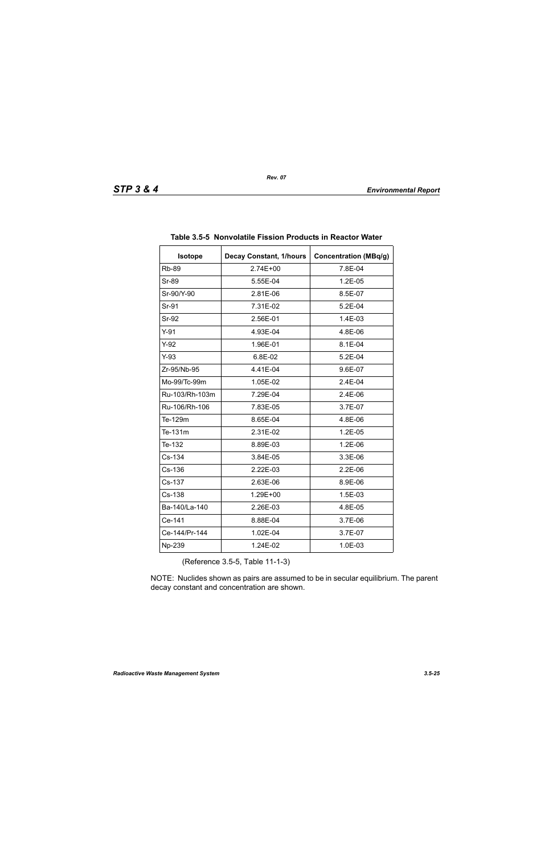| <b>Isotope</b> | <b>Decay Constant, 1/hours</b> | <b>Concentration (MBq/g)</b> |
|----------------|--------------------------------|------------------------------|
| <b>Rb-89</b>   | 2.74E+00                       | 7.8E-04                      |
| Sr-89          | 5.55E-04                       | $1.2E-05$                    |
| Sr-90/Y-90     | 2.81E-06                       | 8.5E-07                      |
| Sr-91          | 7.31E-02                       | 5.2E-04                      |
| Sr-92          | 2.56E-01                       | 1.4E-03                      |
| $Y-91$         | 4.93E-04                       | 4.8E-06                      |
| $Y-92$         | 1.96E-01                       | 8.1E-04                      |
| $Y-93$         | 6.8E-02                        | 5.2E-04                      |
| Zr-95/Nb-95    | 4.41E-04                       | 9.6E-07                      |
| Mo-99/Tc-99m   | 1.05E-02                       | 2.4E-04                      |
| Ru-103/Rh-103m | 7.29E-04                       | 2.4E-06                      |
| Ru-106/Rh-106  | 7.83E-05                       | 3.7E-07                      |
| Te-129m        | 8.65E-04                       | 4.8E-06                      |
| Te-131m        | 2.31E-02                       | $1.2E-05$                    |
| Te-132         | 8.89E-03                       | 1.2E-06                      |
| Cs-134         | 3.84E-05                       | 3.3E-06                      |
| Cs-136         | 2.22E-03                       | $2.2E-06$                    |
| Cs-137         | 2.63E-06                       | 8.9E-06                      |
| Cs-138         | 1.29E+00                       | 1.5E-03                      |
| Ba-140/La-140  | 2.26E-03                       | 4.8E-05                      |
| Ce-141         | 8.88E-04                       | 3.7E-06                      |
| Ce-144/Pr-144  | 1.02E-04                       | 3.7E-07                      |
| Np-239         | 1.24E-02                       | 1.0E-03                      |

#### **Table 3.5-5 Nonvolatile Fission Products in Reactor Water**

(Reference 3.5-5, Table 11-1-3)

NOTE: Nuclides shown as pairs are assumed to be in secular equilibrium. The parent decay constant and concentration are shown.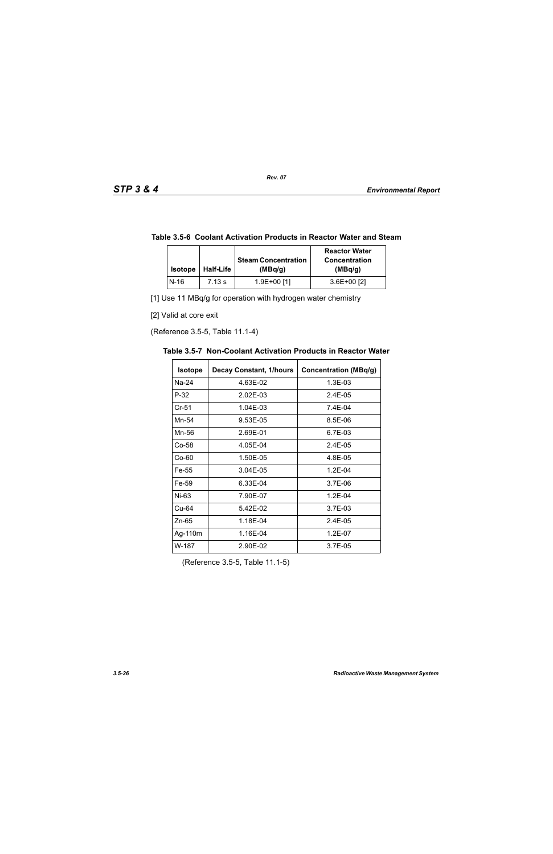|  | Table 3.5-6 Coolant Activation Products in Reactor Water and Steam |  |
|--|--------------------------------------------------------------------|--|
|--|--------------------------------------------------------------------|--|

| <b>Isotope</b> | <b>Half-Life</b> | <b>Steam Concentration</b><br>(MBq/q) | <b>Reactor Water</b><br><b>Concentration</b><br>(MBq/g) |
|----------------|------------------|---------------------------------------|---------------------------------------------------------|
| N-16           | 7.13 s           | 1.9E+00 [1]                           | $3.6E+00$ [2]                                           |

[1] Use 11 MBq/g for operation with hydrogen water chemistry

[2] Valid at core exit

(Reference 3.5-5, Table 11.1-4)

| <b>Isotope</b> | <b>Decay Constant, 1/hours</b> | <b>Concentration (MBq/g)</b> |
|----------------|--------------------------------|------------------------------|
| Na-24          | 4.63E-02                       | 1.3E-03                      |
| $P-32$         | 2.02E-03                       | $2.4E-0.5$                   |
| $Cr-51$        | 1.04E-03                       | 7.4E-04                      |
| Mn-54          | 9.53E-05                       | 8.5E-06                      |
| Mn-56          | 2.69E-01                       | 6.7E-03                      |
| Co-58          | 4.05E-04                       | $2.4E - 0.5$                 |
| $Co-60$        | 1.50E-05                       | 4.8E-05                      |
| Fe-55          | 3.04E-05                       | $1.2E - 04$                  |
| Fe-59          | 6.33E-04                       | 3.7E-06                      |
| Ni-63          | 7.90E-07                       | $1.2E - 04$                  |
| Cu-64          | 5.42E-02                       | 3.7E-03                      |
| $Zn-65$        | 1.18E-04                       | 2.4E-05                      |
| Ag-110m        | 1.16E-04                       | 1.2E-07                      |
| W-187          | 2.90E-02                       | 3.7E-05                      |

**Table 3.5-7 Non-Coolant Activation Products in Reactor Water** 

(Reference 3.5-5, Table 11.1-5)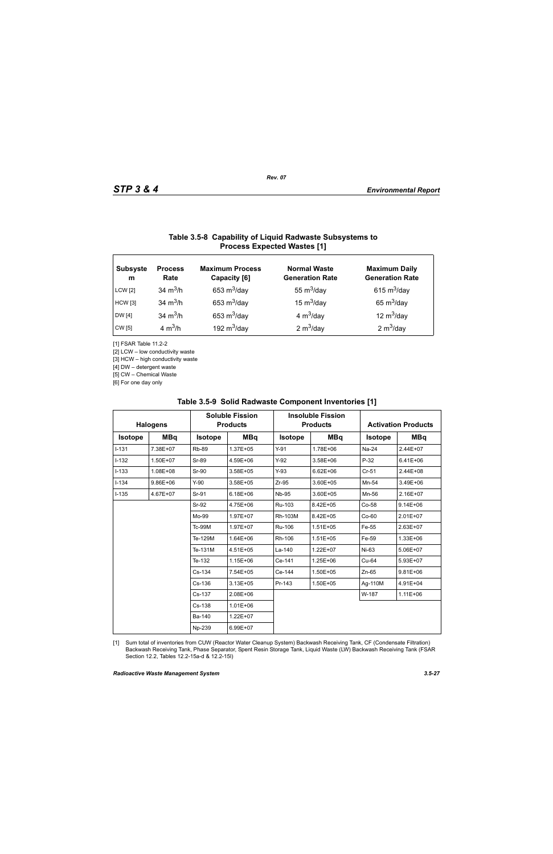# **Table 3.5-8 Capability of Liquid Radwaste Subsystems to Process Expected Wastes [1]**

| <b>Subsyste</b><br>m | <b>Process</b><br>Rate | <b>Maximum Process</b><br>Capacity [6] | <b>Normal Waste</b><br><b>Generation Rate</b> | <b>Maximum Daily</b><br><b>Generation Rate</b> |
|----------------------|------------------------|----------------------------------------|-----------------------------------------------|------------------------------------------------|
| <b>LCW</b> [2]       | 34 $m^3/h$             | 653 $m^3$ /day                         | 55 $m^3$ /day                                 | 615 $m^3$ /day                                 |
| <b>HCW</b> [3]       | 34 $m^3/h$             | 653 $m^3$ /day                         | 15 $m^3$ /day                                 | 65 $m^3$ /day                                  |
| DW [4]               | 34 $m^3/h$             | 653 $m^3$ /day                         | 4 $m^3$ /day                                  | 12 $m^3$ /day                                  |
| CW [5]               | 4 $m^3/h$              | 192 $m^3$ /day                         | 2 $m^3$ /day                                  | 2 $m^3$ /day                                   |

[1] FSAR Table 11.2-2

[2] LCW – low conductivity waste

[3] HCW – high conductivity waste

[4] DW – detergent waste

[5] CW – Chemical Waste

[6] For one day only

| <b>Halogens</b> |            | <b>Soluble Fission</b><br><b>Products</b> |              | <b>Insoluble Fission</b><br><b>Products</b> |               | <b>Activation Products</b> |              |
|-----------------|------------|-------------------------------------------|--------------|---------------------------------------------|---------------|----------------------------|--------------|
| <b>Isotope</b>  | <b>MBq</b> | <b>Isotope</b>                            | <b>MBq</b>   | <b>Isotope</b>                              | <b>MBq</b>    | <b>Isotope</b>             | <b>MBq</b>   |
| $I-131$         | 7.38E+07   | <b>Rb-89</b>                              | 1.37E+05     | $Y-91$                                      | 1.78E+06      | $Na-24$                    | 2.44E+07     |
| $I-132$         | 1.50E+07   | Sr-89                                     | 4.59E+06     | $Y-92$                                      | 3.58E+06      | $P-32$                     | $6.41E + 06$ |
| $I-133$         | 1.08E+08   | Sr-90                                     | 3.58E+05     | $Y-93$                                      | $6.62E + 06$  | $Cr-51$                    | 2.44E+08     |
| $I - 134$       | 9.86E+06   | $Y-90$                                    | 3.58E+05     | $Zr-95$                                     | 3.60E+05      | Mn-54                      | 3.49E+06     |
| $I - 135$       | 4.67E+07   | Sr-91                                     | $6.18E + 06$ | <b>Nb-95</b>                                | $3.60E + 0.5$ | Mn-56                      | 2.16E+07     |
|                 |            | Sr-92                                     | 4.75E+06     | Ru-103                                      | 8.42E+05      | Co-58                      | $9.14E + 06$ |
|                 |            | Mo-99                                     | 1.97E+07     | Rh-103M                                     | 8.42E+05      | $Co-60$                    | 2.01E+07     |
|                 |            | Tc-99M                                    | 1.97E+07     | Ru-106                                      | $1.51E + 05$  | Fe-55                      | 2.63E+07     |
|                 |            | Te-129M                                   | 1.64E+06     | Rh-106                                      | $1.51E + 05$  | Fe-59                      | 1.33E+06     |
|                 |            | Te-131M                                   | 4.51E+05     | La-140                                      | $1.22E + 07$  | Ni-63                      | 5.06E+07     |
|                 |            | Te-132                                    | 1.15E+06     | Ce-141                                      | 1.25E+06      | Cu-64                      | 5.93E+07     |
|                 |            | Cs-134                                    | 7.54E+05     | Ce-144                                      | 1.50E+05      | $Zn-65$                    | $9.81E + 06$ |
|                 |            | Cs-136                                    | 3.13E+05     | Pr-143                                      | 1.50E+05      | Ag-110M                    | 4.91E+04     |
|                 |            | Cs-137                                    | $2.08E + 06$ |                                             |               | W-187                      | $1.11E + 06$ |
|                 |            | Cs-138                                    | $1.01E + 06$ |                                             |               |                            |              |
|                 |            | Ba-140                                    | 1.22E+07     |                                             |               |                            |              |
|                 |            | Np-239                                    | 6.99E+07     |                                             |               |                            |              |

#### **Table 3.5-9 Solid Radwaste Component Inventories [1]**

[1] Sum total of inventories from CUW (Reactor Water Cleanup System) Backwash Receiving Tank, CF (Condensate Filtration) Backwash Receiving Tank, Phase Separator, Spent Resin Storage Tank, Liquid Waste (LW) Backwash Receiving Tank (FSAR Section 12.2, Tables 12.2-15a-d & 12.2-15l)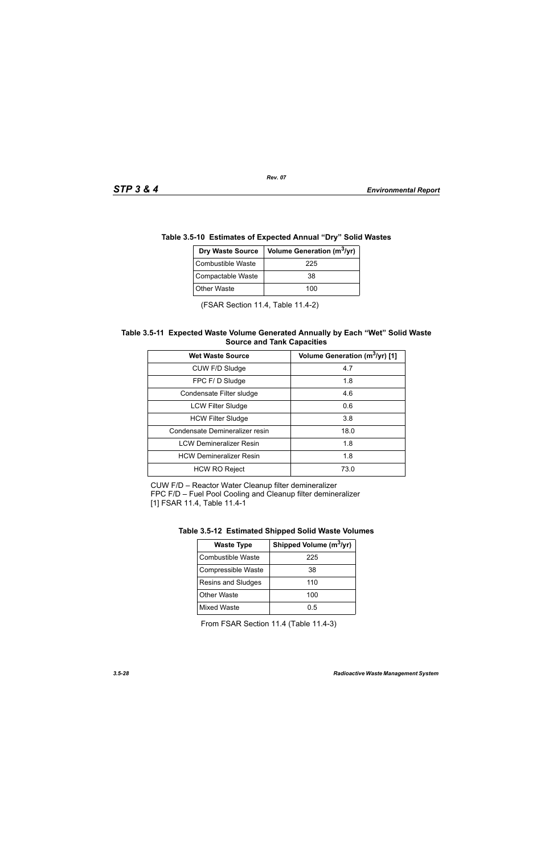| le 3.5-10 Estimates of Expected Annual "Dry" Solid Wasi |                                |  |
|---------------------------------------------------------|--------------------------------|--|
| <b>Dry Waste Source</b>                                 | Volume Generation ( $m^3$ /yr) |  |
| <b>Combustible Waste</b>                                | 225                            |  |
| Compactable Waste                                       | 38                             |  |
| <b>Other Waste</b>                                      | 100                            |  |

# **Table 3.5-10 Estimates of Expected Annual "Dry" Solid Wastes**

(FSAR Section 11.4, Table 11.4-2)

#### **Table 3.5-11 Expected Waste Volume Generated Annually by Each "Wet" Solid Waste Source and Tank Capacities**

| <b>Wet Waste Source</b>        | Volume Generation (m <sup>3</sup> /yr) [1] |  |  |
|--------------------------------|--------------------------------------------|--|--|
| CUW F/D Sludge                 | 4.7                                        |  |  |
| FPC F/D Sludge                 | 1.8                                        |  |  |
| Condensate Filter sludge       | 4.6                                        |  |  |
| <b>LCW Filter Sludge</b>       | 0.6                                        |  |  |
| <b>HCW Filter Sludge</b>       | 3.8                                        |  |  |
| Condensate Demineralizer resin | 18.0                                       |  |  |
| <b>LCW Demineralizer Resin</b> | 1.8                                        |  |  |
| <b>HCW Demineralizer Resin</b> | 1.8                                        |  |  |
| <b>HCW RO Reject</b>           | 73.0                                       |  |  |

CUW F/D – Reactor Water Cleanup filter demineralizer FPC F/D – Fuel Pool Cooling and Cleanup filter demineralizer [1] FSAR 11.4, Table 11.4-1

| Table 3.5-12 Estimated Shipped Solid Waste Volumes |  |  |  |
|----------------------------------------------------|--|--|--|
|                                                    |  |  |  |

| <b>Waste Type</b>  | Shipped Volume (m <sup>3</sup> /yr) |  |  |
|--------------------|-------------------------------------|--|--|
| Combustible Waste  | 225                                 |  |  |
| Compressible Waste | 38                                  |  |  |
| Resins and Sludges | 110                                 |  |  |
| <b>Other Waste</b> | 100                                 |  |  |
| <b>Mixed Waste</b> | 0.5                                 |  |  |

From FSAR Section 11.4 (Table 11.4-3)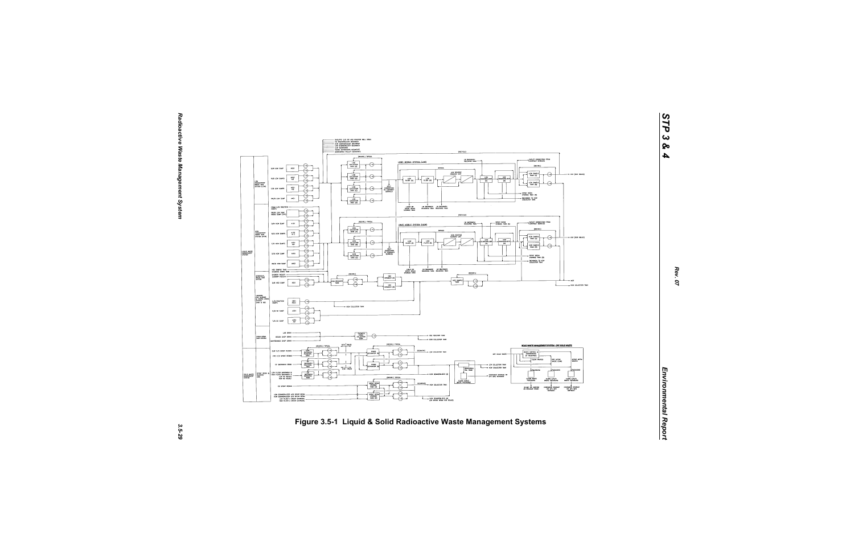

*STP 3 & 4*